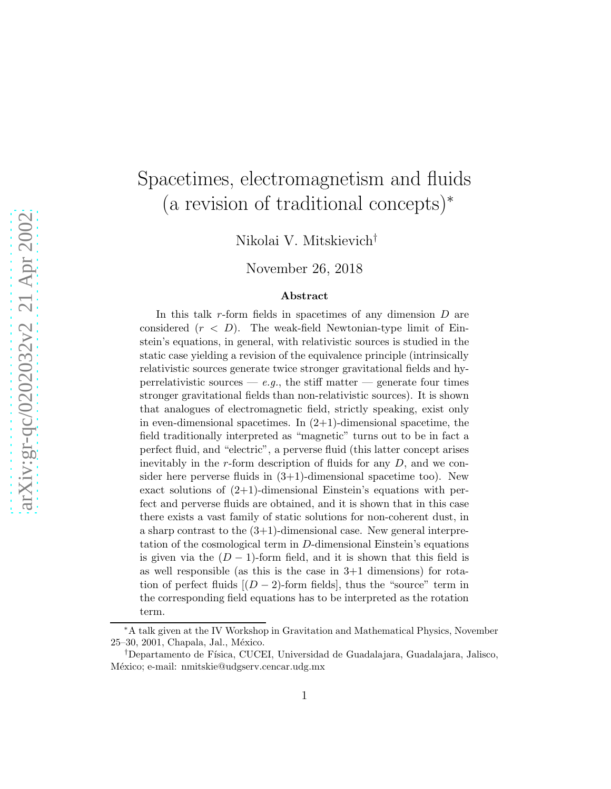# Spacetimes, electromagnetism and fluids (a revision of traditional concepts)<sup>∗</sup>

Nikolai V. Mitskievich†

November 26, 2018

#### Abstract

In this talk r-form fields in spacetimes of any dimension D are considered  $(r < D)$ . The weak-field Newtonian-type limit of Einstein's equations, in general, with relativistic sources is studied in the static case yielding a revision of the equivalence principle (intrinsically relativistic sources generate twice stronger gravitational fields and hyperrelativistic sources — e.g., the stiff matter — generate four times stronger gravitational fields than non-relativistic sources). It is shown that analogues of electromagnetic field, strictly speaking, exist only in even-dimensional spacetimes. In  $(2+1)$ -dimensional spacetime, the field traditionally interpreted as "magnetic" turns out to be in fact a perfect fluid, and "electric", a perverse fluid (this latter concept arises inevitably in the r-form description of fluids for any  $D$ , and we consider here perverse fluids in  $(3+1)$ -dimensional spacetime too). New exact solutions of  $(2+1)$ -dimensional Einstein's equations with perfect and perverse fluids are obtained, and it is shown that in this case there exists a vast family of static solutions for non-coherent dust, in a sharp contrast to the  $(3+1)$ -dimensional case. New general interpretation of the cosmological term in D-dimensional Einstein's equations is given via the  $(D-1)$ -form field, and it is shown that this field is as well responsible (as this is the case in  $3+1$  dimensions) for rotation of perfect fluids  $[(D-2)$ -form fields, thus the "source" term in the corresponding field equations has to be interpreted as the rotation term.

<sup>∗</sup>A talk given at the IV Workshop in Gravitation and Mathematical Physics, November 25–30, 2001, Chapala, Jal., México.

<sup>&</sup>lt;sup>†</sup>Departamento de Física, CUCEI, Universidad de Guadalajara, Guadalajara, Jalisco, México; e-mail: nmitskie@udgserv.cencar.udg.mx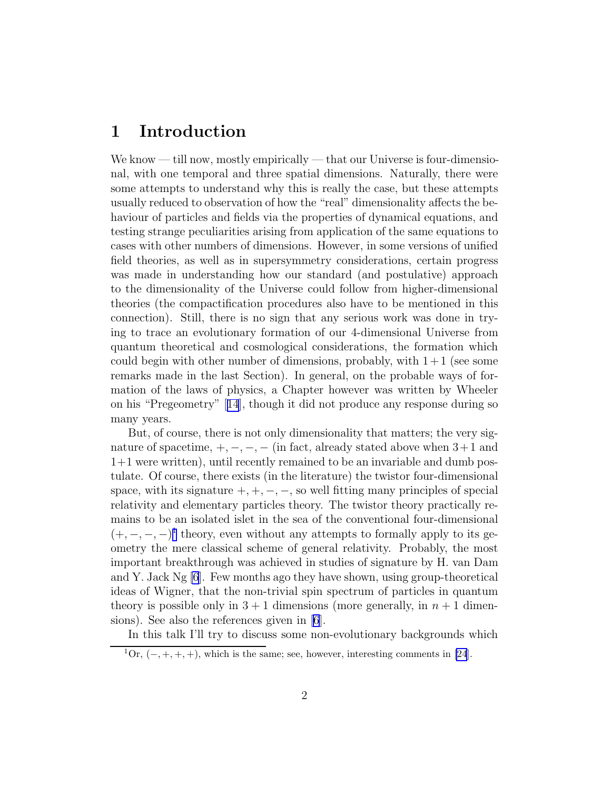### <span id="page-1-0"></span>1 Introduction

We know — till now, mostly empirically — that our Universe is four-dimensional, with one temporal and three spatial dimensions. Naturally, there were some attempts to understand why this is really the case, but these attempts usually reduced to observation of how the "real" dimensionality affects the behaviour of particles and fields via the properties of dynamical equations, and testing strange peculiarities arising from application of the same equations to cases with other numbers of dimensions. However, in some versions of unified field theories, as well as in supersymmetry considerations, certain progress was made in understanding how our standard (and postulative) approach to the dimensionality of the Universe could follow from higher-dimensional theories (the compactification procedures also have to be mentioned in this connection). Still, there is no sign that any serious work was done in trying to trace an evolutionary formation of our 4-dimensional Universe from quantum theoretical and cosmological considerations, the formation which could begin with other number of dimensions, probably, with  $1+1$  (see some remarks made in the last Section). In general, on the probable ways of formation of the laws of physics, a Chapter however was written by Wheeler on his "Pregeometry"[[14](#page-31-0)], though it did not produce any response during so many years.

But, of course, there is not only dimensionality that matters; the very signature of spacetime,  $+$ ,  $-$ ,  $-$ ,  $-$  (in fact, already stated above when  $3+1$  and 1+1 were written), until recently remained to be an invariable and dumb postulate. Of course, there exists (in the literature) the twistor four-dimensional space, with its signature  $+, +, -, -$ , so well fitting many principles of special relativity and elementary particles theory. The twistor theory practically remains to be an isolated islet in the sea of the conventional four-dimensional  $(+, -, -, -)^1$  theory, even without any attempts to formally apply to its geometry the mere classical scheme of general relativity. Probably, the most important breakthrough was achieved in studies of signature by H. van Dam and Y. Jack Ng [\[6](#page-30-0)]. Few months ago they have shown, using group-theoretical ideas of Wigner, that the non-trivial spin spectrum of particles in quantum theory is possible only in  $3 + 1$  dimensions (more generally, in  $n + 1$  dimensions). See also the references given in [\[6](#page-30-0)].

In this talk I'll try to discuss some non-evolutionary backgrounds which

 ${}^{1}$ Or,  $(-, +, +, +)$ , which is the same; see, however, interesting comments in [\[24](#page-32-0)].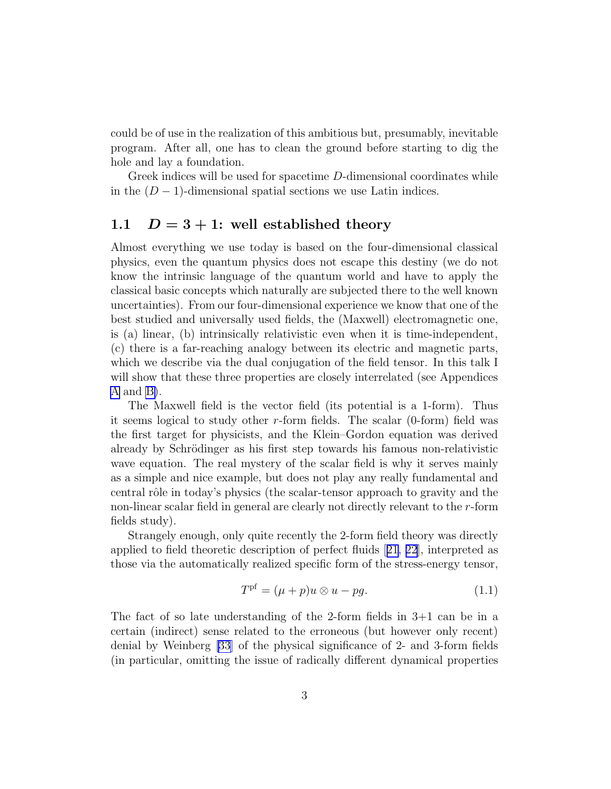<span id="page-2-0"></span>could be of use in the realization of this ambitious but, presumably, inevitable program. After all, one has to clean the ground before starting to dig the hole and lay a foundation.

Greek indices will be used for spacetime D-dimensional coordinates while in the  $(D-1)$ -dimensional spatial sections we use Latin indices.

### 1.1  $D = 3 + 1$ : well established theory

Almost everything we use today is based on the four-dimensional classical physics, even the quantum physics does not escape this destiny (we do not know the intrinsic language of the quantum world and have to apply the classical basic concepts which naturally are subjected there to the well known uncertainties). From our four-dimensional experience we know that one of the best studied and universally used fields, the (Maxwell) electromagnetic one, is (a) linear, (b) intrinsically relativistic even when it is time-independent, (c) there is a far-reaching analogy between its electric and magnetic parts, which we describe via the dual conjugation of the field tensor. In this talk I will show that these three properties are closely interrelated (see Appendices [A](#page-1-0) and [B\)](#page-5-0).

The Maxwell field is the vector field (its potential is a 1-form). Thus it seems logical to study other  $r$ -form fields. The scalar (0-form) field was the first target for physicists, and the Klein–Gordon equation was derived already by Schrödinger as his first step towards his famous non-relativistic wave equation. The real mystery of the scalar field is why it serves mainly as a simple and nice example, but does not play any really fundamental and central rôle in today's physics (the scalar-tensor approach to gravity and the non-linear scalar field in general are clearly not directly relevant to the r-form fields study).

Strangely enough, only quite recently the 2-form field theory was directly applied to field theoretic description of perfect fluids[[21](#page-31-0), [22](#page-31-0)], interpreted as those via the automatically realized specific form of the stress-energy tensor,

$$
Tpf = (\mu + p)u \otimes u - pg.
$$
 (1.1)

The fact of so late understanding of the 2-form fields in 3+1 can be in a certain (indirect) sense related to the erroneous (but however only recent) denial by Weinberg [\[33](#page-32-0)] of the physical significance of 2- and 3-form fields (in particular, omitting the issue of radically different dynamical properties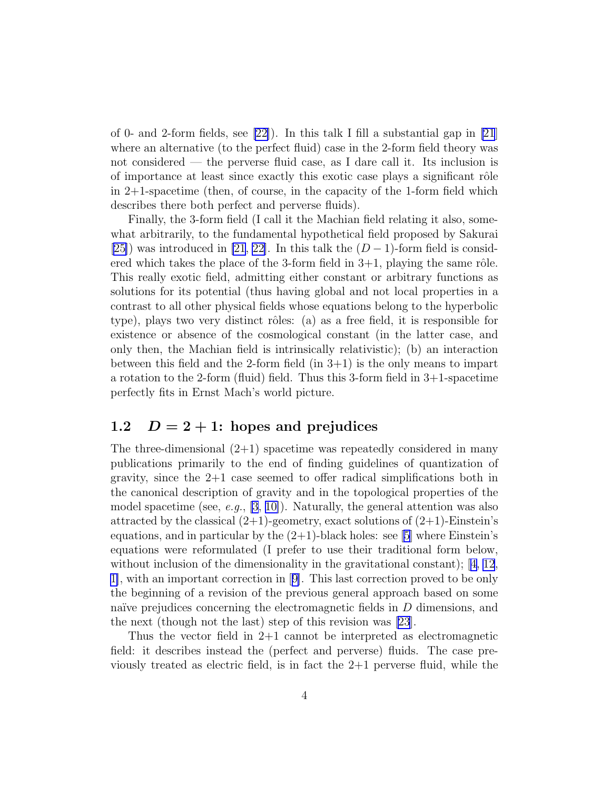of 0- and 2-form fields, see [\[22\]](#page-31-0)). In this talk I fill a substantial gap in [\[21](#page-31-0)] where an alternative (to the perfect fluid) case in the 2-form field theory was not considered — the perverse fluid case, as I dare call it. Its inclusion is of importance at least since exactly this exotic case plays a significant rôle in 2+1-spacetime (then, of course, in the capacity of the 1-form field which describes there both perfect and perverse fluids).

Finally, the 3-form field (I call it the Machian field relating it also, somewhat arbitrarily, to the fundamental hypothetical field proposed by Sakurai [\[25\]](#page-32-0)) was introduced in [\[21](#page-31-0), [22\]](#page-31-0). In this talk the  $(D-1)$ -form field is considered which takes the place of the 3-form field in  $3+1$ , playing the same rôle. This really exotic field, admitting either constant or arbitrary functions as solutions for its potential (thus having global and not local properties in a contrast to all other physical fields whose equations belong to the hyperbolic type), plays two very distinct rôles: (a) as a free field, it is responsible for existence or absence of the cosmological constant (in the latter case, and only then, the Machian field is intrinsically relativistic); (b) an interaction between this field and the 2-form field  $(in 3+1)$  is the only means to impart a rotation to the 2-form (fluid) field. Thus this 3-form field in  $3+1$ -spacetime perfectly fits in Ernst Mach's world picture.

### 1.2  $D = 2 + 1$ : hopes and prejudices

The three-dimensional  $(2+1)$  spacetime was repeatedly considered in many publications primarily to the end of finding guidelines of quantization of gravity, since the  $2+1$  case seemed to offer radical simplifications both in the canonical description of gravity and in the topological properties of the model spacetime (see, *e.g.*, [\[3](#page-30-0), [10\]](#page-31-0)). Naturally, the general attention was also attracted by the classical  $(2+1)$ -geometry, exact solutions of  $(2+1)$ -Einstein's equations,and in particular by the  $(2+1)$ -black holes: see [[5\]](#page-30-0) where Einstein's equations were reformulated (I prefer to use their traditional form below, without inclusion of the dimensionality in the gravitational constant);[[4,](#page-30-0) [12](#page-31-0), [1\]](#page-30-0), with an important correction in[[9\]](#page-31-0). This last correction proved to be only the beginning of a revision of the previous general approach based on some naïve prejudices concerning the electromagnetic fields in  $D$  dimensions, and the next (though not the last) step of this revision was [\[23\]](#page-31-0).

Thus the vector field in  $2+1$  cannot be interpreted as electromagnetic field: it describes instead the (perfect and perverse) fluids. The case previously treated as electric field, is in fact the 2+1 perverse fluid, while the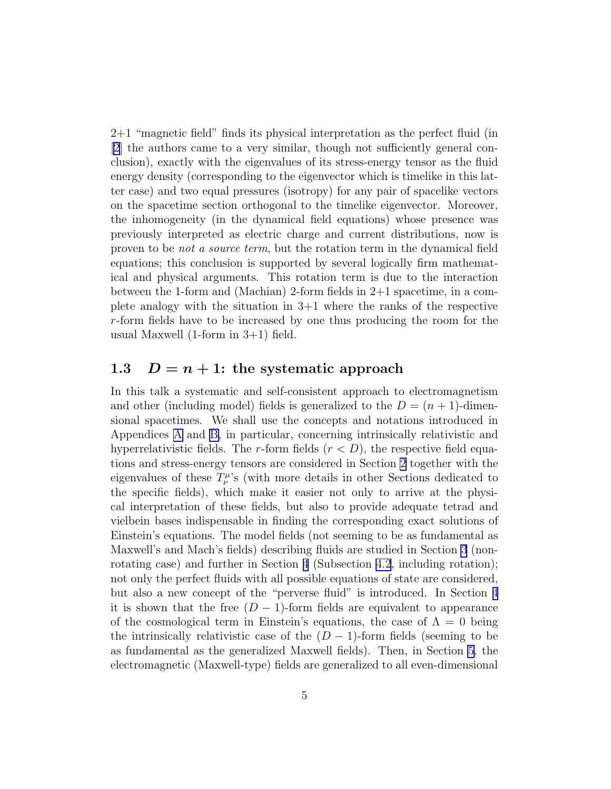2+1 "magnetic field" finds its physical interpretation as the perfect fluid (in [\[2\]](#page-30-0) the authors came to a very similar, though not sufficiently general conclusion), exactly with the eigenvalues of its stress-energy tensor as the fluid energy density (corresponding to the eigenvector which is timelike in this latter case) and two equal pressures (isotropy) for any pair of spacelike vectors on the spacetime section orthogonal to the timelike eigenvector. Moreover, the inhomogeneity (in the dynamical field equations) whose presence was previously interpreted as electric charge and current distributions, now is proven to be *not a source term*, but the rotation term in the dynamical field equations; this conclusion is supported by several logically firm mathematical and physical arguments. This rotation term is due to the interaction between the 1-form and (Machian) 2-form fields in 2+1 spacetime, in a complete analogy with the situation in  $3+1$  where the ranks of the respective r-form fields have to be increased by one thus producing the room for the usual Maxwell (1-form in 3+1) field.

### 1.3  $D = n + 1$ : the systematic approach

In this talk a systematic and self-consistent approach to electromagnetism and other (including model) fields is generalized to the  $D = (n + 1)$ -dimensional spacetimes. We shall use the concepts and notations introduced in Appendices [A](#page-1-0) and [B,](#page-5-0) in particular, concerning intrinsically relativistic and hyperrelativistic fields. The r-form fields  $(r < D)$ , the respective field equations and stress-energy tensors are considered in Section [2](#page-5-0) together with the eigenvalues of these  $T^{\mu}_{\nu}$ 's (with more details in other Sections dedicated to the specific fields), which make it easier not only to arrive at the physical interpretation of these fields, but also to provide adequate tetrad and vielbein bases indispensable in finding the corresponding exact solutions of Einstein's equations. The model fields (not seeming to be as fundamental as Maxwell's and Mach's fields) describing fluids are studied in Section [3](#page-6-0) (nonrotating case) and further in Section [4](#page-12-0) (Subsection [4.2](#page-13-0), including rotation); not only the perfect fluids with all possible equations of state are considered, but also a new concept of the "perverse fluid" is introduced. In Section [4](#page-12-0) it is shown that the free  $(D-1)$ -form fields are equivalent to appearance of the cosmological term in Einstein's equations, the case of  $\Lambda = 0$  being the intrinsically relativistic case of the  $(D-1)$ -form fields (seeming to be as fundamental as the generalized Maxwell fields). Then, in Section [5](#page-14-0), the electromagnetic (Maxwell-type) fields are generalized to all even-dimensional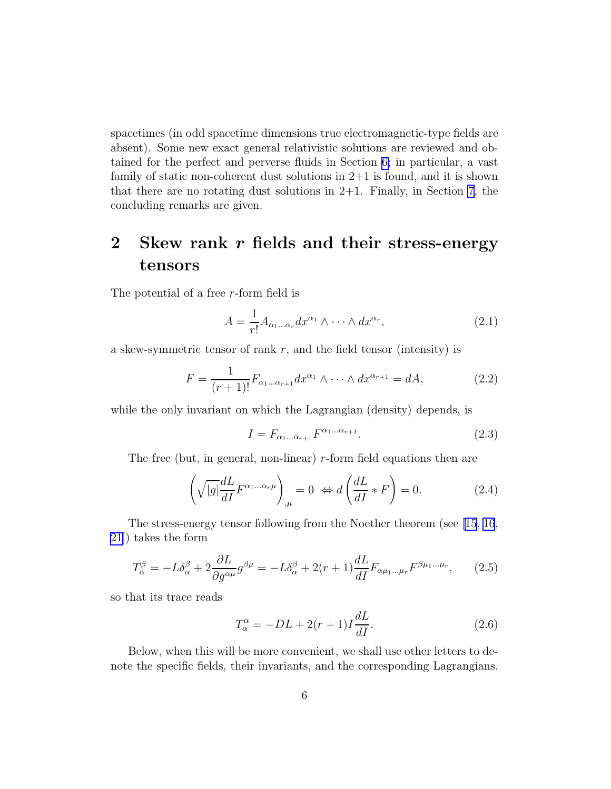<span id="page-5-0"></span>spacetimes (in odd spacetime dimensions true electromagnetic-type fields are absent). Some new exact general relativistic solutions are reviewed and obtained for the perfect and perverse fluids in Section [6;](#page-15-0) in particular, a vast family of static non-coherent dust solutions in 2+1 is found, and it is shown that there are no rotating dust solutions in  $2+1$ . Finally, in Section [7](#page-22-0), the concluding remarks are given.

## 2 Skew rank  $r$  fields and their stress-energy tensors

The potential of a free r-form field is

$$
A = \frac{1}{r!} A_{\alpha_1 \dots \alpha_r} dx^{\alpha_1} \wedge \dots \wedge dx^{\alpha_r}, \qquad (2.1)
$$

a skew-symmetric tensor of rank  $r$ , and the field tensor (intensity) is

$$
F = \frac{1}{(r+1)!} F_{\alpha_1...\alpha_{r+1}} dx^{\alpha_1} \wedge \dots \wedge dx^{\alpha_{r+1}} = dA,
$$
 (2.2)

while the only invariant on which the Lagrangian (density) depends, is

$$
I = F_{\alpha_1 \dots \alpha_{r+1}} F^{\alpha_1 \dots \alpha_{r+1}}.
$$
\n
$$
(2.3)
$$

The free (but, in general, non-linear)  $r$ -form field equations then are

$$
\left(\sqrt{|g|}\frac{dL}{dI}F^{\alpha_1...\alpha_r\mu}\right)_{,\mu} = 0 \iff d\left(\frac{dL}{dI} * F\right) = 0. \tag{2.4}
$$

The stress-energy tensor following from the Noether theorem (see [\[15, 16](#page-31-0), [21\]](#page-31-0)) takes the form

$$
T_{\alpha}^{\beta} = -L\delta_{\alpha}^{\beta} + 2\frac{\partial L}{\partial g^{\alpha\mu}}g^{\beta\mu} = -L\delta_{\alpha}^{\beta} + 2(r+1)\frac{dL}{dI}F_{\alpha\mu_1...\mu_r}F^{\beta\mu_1...\mu_r},\qquad(2.5)
$$

so that its trace reads

$$
T_{\alpha}^{\alpha} = -DL + 2(r+1)I \frac{dL}{dI}.
$$
\n(2.6)

Below, when this will be more convenient, we shall use other letters to denote the specific fields, their invariants, and the corresponding Lagrangians.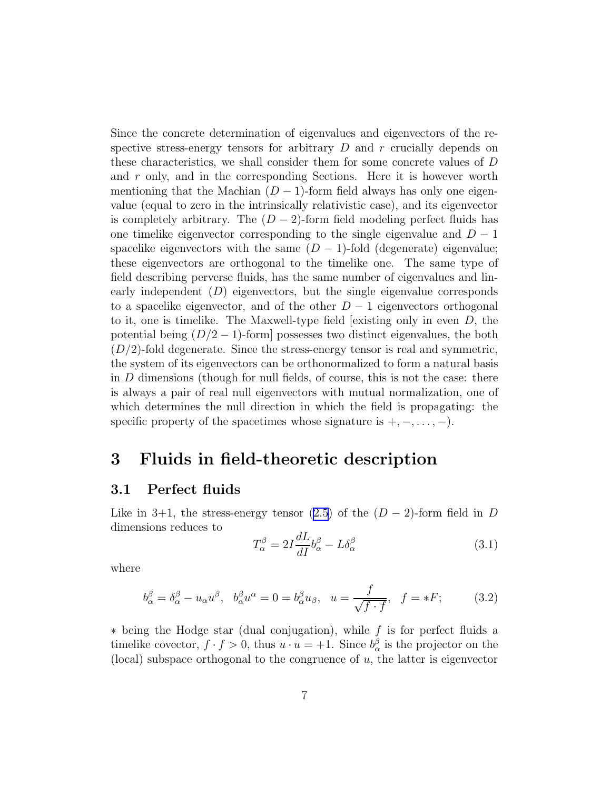<span id="page-6-0"></span>Since the concrete determination of eigenvalues and eigenvectors of the respective stress-energy tensors for arbitrary  $D$  and  $r$  crucially depends on these characteristics, we shall consider them for some concrete values of D and r only, and in the corresponding Sections. Here it is however worth mentioning that the Machian  $(D-1)$ -form field always has only one eigenvalue (equal to zero in the intrinsically relativistic case), and its eigenvector is completely arbitrary. The  $(D-2)$ -form field modeling perfect fluids has one timelike eigenvector corresponding to the single eigenvalue and  $D-1$ spacelike eigenvectors with the same  $(D-1)$ -fold (degenerate) eigenvalue; these eigenvectors are orthogonal to the timelike one. The same type of field describing perverse fluids, has the same number of eigenvalues and linearly independent  $(D)$  eigenvectors, but the single eigenvalue corresponds to a spacelike eigenvector, and of the other  $D-1$  eigenvectors orthogonal to it, one is timelike. The Maxwell-type field existing only in even  $D$ , the potential being  $(D/2 - 1)$ -form] possesses two distinct eigenvalues, the both  $(D/2)$ -fold degenerate. Since the stress-energy tensor is real and symmetric, the system of its eigenvectors can be orthonormalized to form a natural basis in  $D$  dimensions (though for null fields, of course, this is not the case: there is always a pair of real null eigenvectors with mutual normalization, one of which determines the null direction in which the field is propagating: the specific property of the spacetimes whose signature is  $+,-,\ldots,-$ ).

### 3 Fluids in field-theoretic description

### 3.1 Perfect fluids

Like in 3+1, the stress-energy tensor [\(2.5](#page-5-0)) of the  $(D-2)$ -form field in D dimensions reduces to

$$
T_{\alpha}^{\beta} = 2I \frac{dL}{dI} b_{\alpha}^{\beta} - L \delta_{\alpha}^{\beta} \tag{3.1}
$$

where

$$
b_{\alpha}^{\beta} = \delta_{\alpha}^{\beta} - u_{\alpha}u^{\beta}, \quad b_{\alpha}^{\beta}u^{\alpha} = 0 = b_{\alpha}^{\beta}u_{\beta}, \quad u = \frac{f}{\sqrt{f \cdot f}}, \quad f = *F; \tag{3.2}
$$

∗ being the Hodge star (dual conjugation), while f is for perfect fluids a timelike covector,  $f \cdot f > 0$ , thus  $u \cdot u = +1$ . Since  $b^{\beta}_{\alpha}$  is the projector on the (local) subspace orthogonal to the congruence of  $u$ , the latter is eigenvector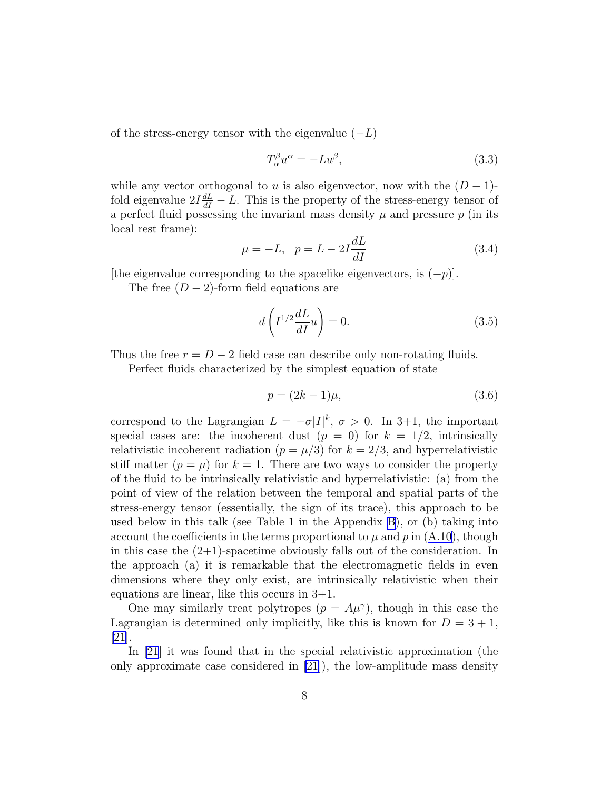<span id="page-7-0"></span>of the stress-energy tensor with the eigenvalue  $(-L)$ 

$$
T_{\alpha}^{\beta}u^{\alpha} = -Lu^{\beta},\tag{3.3}
$$

while any vector orthogonal to u is also eigenvector, now with the  $(D-1)$ fold eigenvalue  $2I\frac{dL}{dI} - L$ . This is the property of the stress-energy tensor of a perfect fluid possessing the invariant mass density  $\mu$  and pressure  $p$  (in its local rest frame):

$$
\mu = -L, \ \ p = L - 2I \frac{dL}{dI}
$$
 (3.4)

[the eigenvalue corresponding to the spacelike eigenvectors, is  $(-p)$ ].

The free  $(D-2)$ -form field equations are

$$
d\left(I^{1/2}\frac{dL}{dI}u\right) = 0.\t\t(3.5)
$$

Thus the free  $r = D - 2$  field case can describe only non-rotating fluids.

Perfect fluids characterized by the simplest equation of state

$$
p = (2k - 1)\mu,\tag{3.6}
$$

correspond to the Lagrangian  $L = -\sigma |I|^k$ ,  $\sigma > 0$ . In 3+1, the important special cases are: the incoherent dust  $(p = 0)$  for  $k = 1/2$ , intrinsically relativistic incoherent radiation ( $p = \mu/3$ ) for  $k = 2/3$ , and hyperrelativistic stiff matter  $(p = \mu)$  for  $k = 1$ . There are two ways to consider the property of the fluid to be intrinsically relativistic and hyperrelativistic: (a) from the point of view of the relation between the temporal and spatial parts of the stress-energy tensor (essentially, the sign of its trace), this approach to be used below in this talk (see Table 1 in the Appendix [B](#page-5-0)), or (b) taking into account the coefficients in the terms proportional to  $\mu$  and  $p$  in [\(A.10\)](#page-26-0), though in this case the  $(2+1)$ -spacetime obviously falls out of the consideration. In the approach (a) it is remarkable that the electromagnetic fields in even dimensions where they only exist, are intrinsically relativistic when their equations are linear, like this occurs in 3+1.

One may similarly treat polytropes  $(p = A\mu^{\gamma})$ , though in this case the Lagrangian is determined only implicitly, like this is known for  $D = 3 + 1$ , [\[21\]](#page-31-0).

In [\[21](#page-31-0)] it was found that in the special relativistic approximation (the only approximate case considered in [\[21](#page-31-0)]), the low-amplitude mass density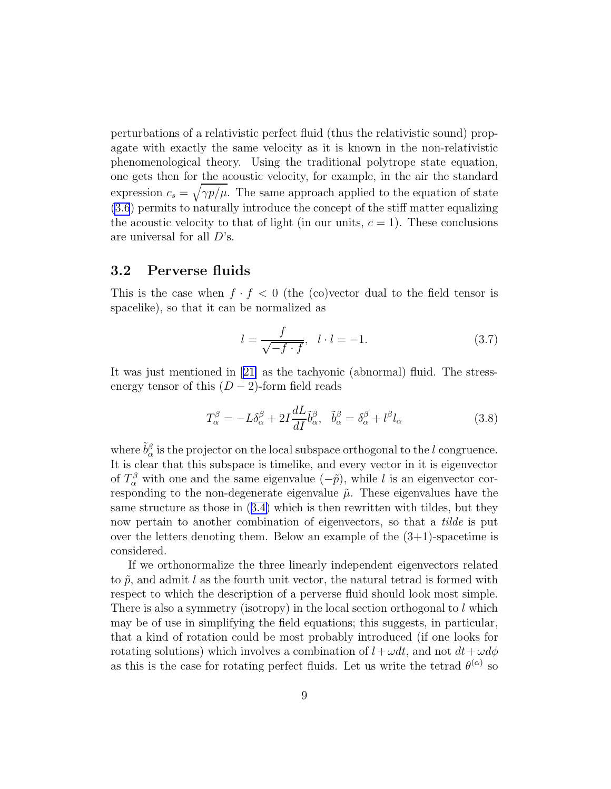perturbations of a relativistic perfect fluid (thus the relativistic sound) propagate with exactly the same velocity as it is known in the non-relativistic phenomenological theory. Using the traditional polytrope state equation, one gets then for the acoustic velocity, for example, in the air the standard expression  $c_s = \sqrt{\gamma p/\mu}$ . The same approach applied to the equation of state [\(3.6](#page-7-0)) permits to naturally introduce the concept of the stiff matter equalizing the acoustic velocity to that of light (in our units,  $c = 1$ ). These conclusions are universal for all D's.

### 3.2 Perverse fluids

This is the case when  $f \cdot f \leq 0$  (the (co)vector dual to the field tensor is spacelike), so that it can be normalized as

$$
l = \frac{f}{\sqrt{-f \cdot f}}, \quad l \cdot l = -1. \tag{3.7}
$$

It was just mentioned in[[21\]](#page-31-0) as the tachyonic (abnormal) fluid. The stressenergy tensor of this  $(D-2)$ -form field reads

$$
T_{\alpha}^{\beta} = -L\delta_{\alpha}^{\beta} + 2I\frac{dL}{dI}\tilde{b}_{\alpha}^{\beta}, \quad \tilde{b}_{\alpha}^{\beta} = \delta_{\alpha}^{\beta} + l^{\beta}l_{\alpha}
$$
\n(3.8)

where  $\tilde{b}^{\beta}_{\alpha}$  is the projector on the local subspace orthogonal to the l congruence. It is clear that this subspace is timelike, and every vector in it is eigenvector of  $T^{\beta}_{\alpha}$  with one and the same eigenvalue  $(-\tilde{p})$ , while l is an eigenvector corresponding to the non-degenerate eigenvalue  $\tilde{\mu}$ . These eigenvalues have the same structure as those in([3.4\)](#page-7-0) which is then rewritten with tildes, but they now pertain to another combination of eigenvectors, so that a *tilde* is put over the letters denoting them. Below an example of the  $(3+1)$ -spacetime is considered.

If we orthonormalize the three linearly independent eigenvectors related to  $\tilde{p}$ , and admit l as the fourth unit vector, the natural tetrad is formed with respect to which the description of a perverse fluid should look most simple. There is also a symmetry (isotropy) in the local section orthogonal to l which may be of use in simplifying the field equations; this suggests, in particular, that a kind of rotation could be most probably introduced (if one looks for rotating solutions) which involves a combination of  $l + \omega dt$ , and not  $dt + \omega d\phi$ as this is the case for rotating perfect fluids. Let us write the tetrad  $\theta^{(\alpha)}$  so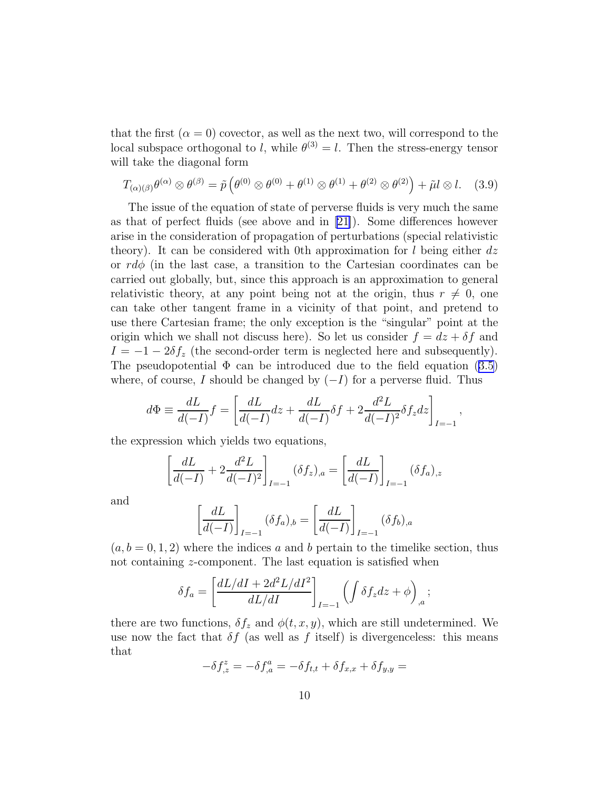that the first  $(\alpha = 0)$  covector, as well as the next two, will correspond to the local subspace orthogonal to l, while  $\theta^{(3)} = l$ . Then the stress-energy tensor will take the diagonal form

$$
T_{(\alpha)(\beta)}\theta^{(\alpha)}\otimes\theta^{(\beta)} = \tilde{p}\left(\theta^{(0)}\otimes\theta^{(0)} + \theta^{(1)}\otimes\theta^{(1)} + \theta^{(2)}\otimes\theta^{(2)}\right) + \tilde{\mu}l\otimes l. \quad (3.9)
$$

The issue of the equation of state of perverse fluids is very much the same as that of perfect fluids (see above and in [\[21\]](#page-31-0)). Some differences however arise in the consideration of propagation of perturbations (special relativistic theory). It can be considered with 0th approximation for l being either  $dz$ or  $\tau d\phi$  (in the last case, a transition to the Cartesian coordinates can be carried out globally, but, since this approach is an approximation to general relativistic theory, at any point being not at the origin, thus  $r \neq 0$ , one can take other tangent frame in a vicinity of that point, and pretend to use there Cartesian frame; the only exception is the "singular" point at the origin which we shall not discuss here). So let us consider  $f = dz + \delta f$  and  $I = -1 - 2\delta f_z$  (the second-order term is neglected here and subsequently). Thepseudopotential  $\Phi$  can be introduced due to the field equation ([3.5\)](#page-7-0) where, of course, I should be changed by  $(-I)$  for a perverse fluid. Thus

$$
d\Phi \equiv \frac{dL}{d(-I)}f = \left[\frac{dL}{d(-I)}dz + \frac{dL}{d(-I)}\delta f + 2\frac{d^2L}{d(-I)^2}\delta f_z dz\right]_{I=-1},
$$

the expression which yields two equations,

$$
\left[\frac{dL}{d(-I)} + 2\frac{d^2L}{d(-I)^2}\right]_{I=-1} (\delta f_z)_{,a} = \left[\frac{dL}{d(-I)}\right]_{I=-1} (\delta f_a)_{,z}
$$

and

$$
\left[\frac{dL}{d(-I)}\right]_{I=-1} (\delta f_a)_{,b} = \left[\frac{dL}{d(-I)}\right]_{I=-1} (\delta f_b)_{,a}
$$

 $(a, b = 0, 1, 2)$  where the indices a and b pertain to the timelike section, thus not containing *z*-component. The last equation is satisfied when

$$
\delta f_a = \left[\frac{dL/dI + 2d^2L/dI^2}{dL/dI}\right]_{I=-1} \left(\int \delta f_z dz + \phi\right)_{,a};
$$

there are two functions,  $\delta f_z$  and  $\phi(t, x, y)$ , which are still undetermined. We use now the fact that  $\delta f$  (as well as f itself) is divergenceless: this means that

$$
-\delta f^z_{,z} = -\delta f^a_{,a} = -\delta f_{t,t} + \delta f_{x,x} + \delta f_{y,y} =
$$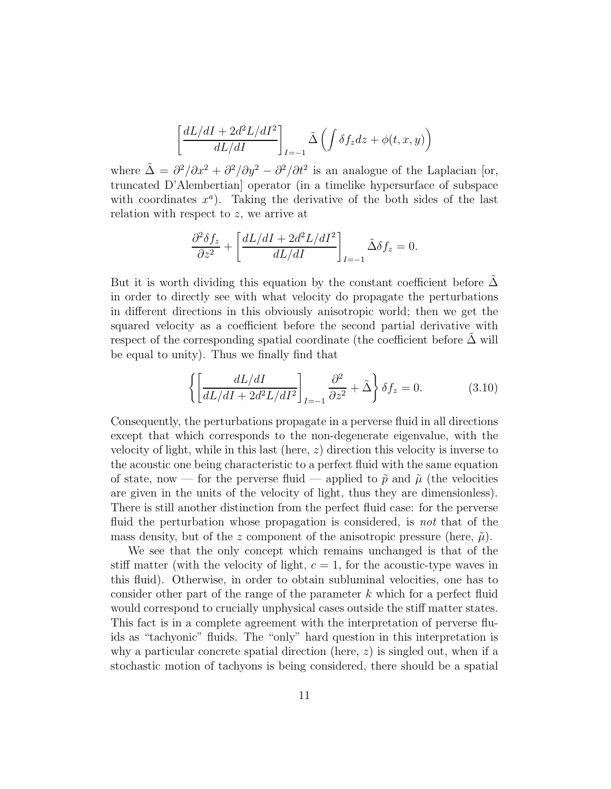$$
\left[\frac{dL/dI + 2d^2L/dI^2}{dL/dI}\right]_{I=-1} \tilde{\Delta} \left(\int \delta f_z dz + \phi(t, x, y)\right)
$$

where  $\tilde{\Delta} = \partial^2/\partial x^2 + \partial^2/\partial y^2 - \partial^2/\partial t^2$  is an analogue of the Laplacian [or, truncated D'Alembertian] operator (in a timelike hypersurface of subspace with coordinates  $x^a$ ). Taking the derivative of the both sides of the last relation with respect to z, we arrive at

$$
\frac{\partial^2 \delta f_z}{\partial z^2} + \left[ \frac{dL/dI + 2d^2L/dI^2}{dL/dI} \right]_{I=-1} \tilde{\Delta} \delta f_z = 0.
$$

But it is worth dividing this equation by the constant coefficient before  $\Delta$ in order to directly see with what velocity do propagate the perturbations in different directions in this obviously anisotropic world; then we get the squared velocity as a coefficient before the second partial derivative with respect of the corresponding spatial coordinate (the coefficient before  $\Delta$  will be equal to unity). Thus we finally find that

$$
\left\{ \left[ \frac{dL/dI}{dL/dI + 2d^2L/dI^2} \right]_{I=-1} \frac{\partial^2}{\partial z^2} + \tilde{\Delta} \right\} \delta f_z = 0. \tag{3.10}
$$

Consequently, the perturbations propagate in a perverse fluid in all directions except that which corresponds to the non-degenerate eigenvalue, with the velocity of light, while in this last (here,  $z$ ) direction this velocity is inverse to the acoustic one being characteristic to a perfect fluid with the same equation of state, now — for the perverse fluid — applied to  $\tilde{p}$  and  $\tilde{\mu}$  (the velocities are given in the units of the velocity of light, thus they are dimensionless). There is still another distinction from the perfect fluid case: for the perverse fluid the perturbation whose propagation is considered, is *not* that of the mass density, but of the z component of the anisotropic pressure (here,  $\tilde{\mu}$ ).

We see that the only concept which remains unchanged is that of the stiff matter (with the velocity of light,  $c = 1$ , for the acoustic-type waves in this fluid). Otherwise, in order to obtain subluminal velocities, one has to consider other part of the range of the parameter  $k$  which for a perfect fluid would correspond to crucially unphysical cases outside the stiff matter states. This fact is in a complete agreement with the interpretation of perverse fluids as "tachyonic" fluids. The "only" hard question in this interpretation is why a particular concrete spatial direction (here,  $z$ ) is singled out, when if a stochastic motion of tachyons is being considered, there should be a spatial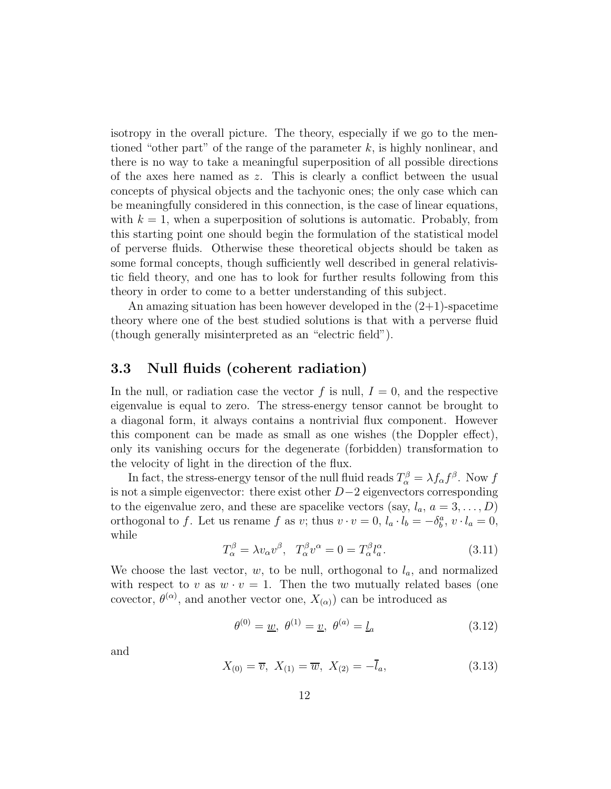isotropy in the overall picture. The theory, especially if we go to the mentioned "other part" of the range of the parameter  $k$ , is highly nonlinear, and there is no way to take a meaningful superposition of all possible directions of the axes here named as  $z$ . This is clearly a conflict between the usual concepts of physical objects and the tachyonic ones; the only case which can be meaningfully considered in this connection, is the case of linear equations, with  $k = 1$ , when a superposition of solutions is automatic. Probably, from this starting point one should begin the formulation of the statistical model of perverse fluids. Otherwise these theoretical objects should be taken as some formal concepts, though sufficiently well described in general relativistic field theory, and one has to look for further results following from this theory in order to come to a better understanding of this subject.

An amazing situation has been however developed in the  $(2+1)$ -spacetime theory where one of the best studied solutions is that with a perverse fluid (though generally misinterpreted as an "electric field").

### 3.3 Null fluids (coherent radiation)

In the null, or radiation case the vector f is null,  $I = 0$ , and the respective eigenvalue is equal to zero. The stress-energy tensor cannot be brought to a diagonal form, it always contains a nontrivial flux component. However this component can be made as small as one wishes (the Doppler effect), only its vanishing occurs for the degenerate (forbidden) transformation to the velocity of light in the direction of the flux.

In fact, the stress-energy tensor of the null fluid reads  $T_{\alpha}^{\beta} = \lambda f_{\alpha} f^{\beta}$ . Now f is not a simple eigenvector: there exist other D−2 eigenvectors corresponding to the eigenvalue zero, and these are spacelike vectors (say,  $l_a, a = 3, \ldots, D$ ) orthogonal to f. Let us rename f as v; thus  $v \cdot v = 0$ ,  $l_a \cdot l_b = -\delta_b^a$ ,  $v \cdot l_a = 0$ , while

$$
T_{\alpha}^{\beta} = \lambda v_{\alpha} v^{\beta}, \quad T_{\alpha}^{\beta} v^{\alpha} = 0 = T_{\alpha}^{\beta} l_{a}^{\alpha}.
$$
 (3.11)

We choose the last vector,  $w$ , to be null, orthogonal to  $l_a$ , and normalized with respect to v as  $w \cdot v = 1$ . Then the two mutually related bases (one covector,  $\theta^{(\alpha)}$ , and another vector one,  $X_{(\alpha)}$  can be introduced as

$$
\theta^{(0)} = \underline{w}, \ \theta^{(1)} = \underline{v}, \ \theta^{(a)} = \underline{l}_a \tag{3.12}
$$

and

$$
X_{(0)} = \overline{v}, \ X_{(1)} = \overline{w}, \ X_{(2)} = -\overline{l}_a,\tag{3.13}
$$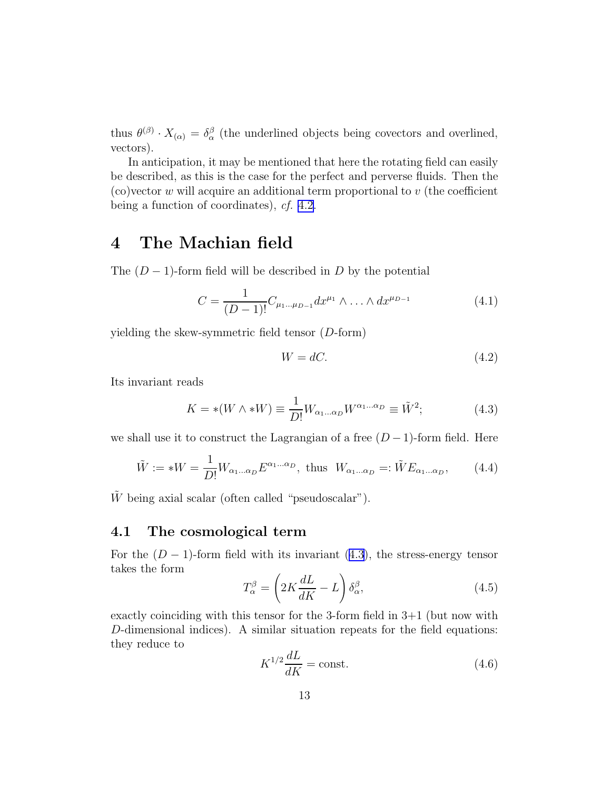<span id="page-12-0"></span>thus  $\theta^{(\beta)} \cdot X_{(\alpha)} = \delta^{\beta}_{\alpha}$  (the underlined objects being covectors and overlined, vectors).

In anticipation, it may be mentioned that here the rotating field can easily be described, as this is the case for the perfect and perverse fluids. Then the (co)vector  $w$  will acquire an additional term proportional to  $v$  (the coefficient being a function of coordinates), *cf.* [4.2](#page-13-0).

## 4 The Machian field

The  $(D-1)$ -form field will be described in D by the potential

$$
C = \frac{1}{(D-1)!} C_{\mu_1...\mu_{D-1}} dx^{\mu_1} \wedge \ldots \wedge dx^{\mu_{D-1}} \tag{4.1}
$$

yielding the skew-symmetric field tensor (D-form)

$$
W = dC.\t\t(4.2)
$$

Its invariant reads

$$
K = *(W \wedge *W) \equiv \frac{1}{D!}W_{\alpha_1...\alpha_D}W^{\alpha_1...\alpha_D} \equiv \tilde{W}^2; \tag{4.3}
$$

we shall use it to construct the Lagrangian of a free  $(D-1)$ -form field. Here

$$
\tilde{W} := *W = \frac{1}{D!} W_{\alpha_1 \dots \alpha_D} E^{\alpha_1 \dots \alpha_D}, \text{ thus } W_{\alpha_1 \dots \alpha_D} = : \tilde{W} E_{\alpha_1 \dots \alpha_D}, \quad (4.4)
$$

 $\tilde{W}$  being axial scalar (often called "pseudoscalar").

#### 4.1 The cosmological term

For the  $(D-1)$ -form field with its invariant  $(4.3)$ , the stress-energy tensor takes the form

$$
T_{\alpha}^{\beta} = \left(2K\frac{dL}{dK} - L\right)\delta_{\alpha}^{\beta},\tag{4.5}
$$

exactly coinciding with this tensor for the 3-form field in 3+1 (but now with D-dimensional indices). A similar situation repeats for the field equations: they reduce to

$$
K^{1/2} \frac{dL}{dK} = \text{const.} \tag{4.6}
$$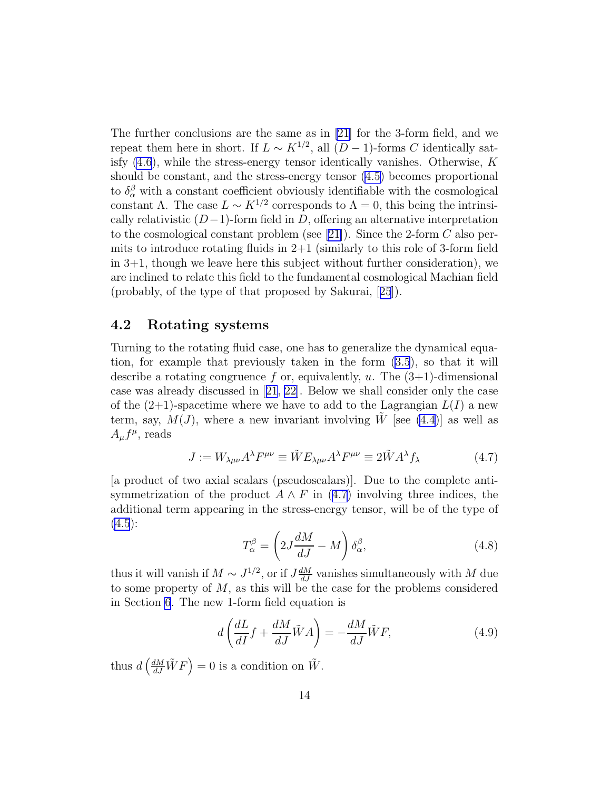<span id="page-13-0"></span>The further conclusions are the same as in [\[21](#page-31-0)] for the 3-form field, and we repeat them here in short. If  $L \sim K^{1/2}$ , all  $(D-1)$ -forms C identically satisfy  $(4.6)$ , while the stress-energy tensor identically vanishes. Otherwise, K should be constant, and the stress-energy tensor [\(4.5](#page-12-0)) becomes proportional to  $\delta_\alpha^\beta$  with a constant coefficient obviously identifiable with the cosmological constant Λ. The case  $L \sim K^{1/2}$  corresponds to  $\Lambda = 0$ , this being the intrinsically relativistic  $(D-1)$ -form field in D, offering an alternative interpretation to the cosmological constant problem (see [\[21\]](#page-31-0)). Since the 2-form  $C$  also permits to introduce rotating fluids in  $2+1$  (similarly to this role of 3-form field in 3+1, though we leave here this subject without further consideration), we are inclined to relate this field to the fundamental cosmological Machian field (probably, of the type of that proposed by Sakurai,[[25](#page-32-0)]).

### 4.2 Rotating systems

Turning to the rotating fluid case, one has to generalize the dynamical equation, for example that previously taken in the form [\(3.5](#page-7-0)), so that it will describe a rotating congruence f or, equivalently, u. The  $(3+1)$ -dimensional case was already discussed in[[21](#page-31-0), [22](#page-31-0)]. Below we shall consider only the case of the  $(2+1)$ -spacetime where we have to add to the Lagrangian  $L(I)$  a new term, say,  $M(J)$ , where a new invariant involving W [see [\(4.4](#page-12-0))] as well as  $A_{\mu}f^{\mu}$ , reads

$$
J := W_{\lambda\mu\nu}A^{\lambda}F^{\mu\nu} \equiv \tilde{W}E_{\lambda\mu\nu}A^{\lambda}F^{\mu\nu} \equiv 2\tilde{W}A^{\lambda}f_{\lambda}
$$
(4.7)

[a product of two axial scalars (pseudoscalars)]. Due to the complete antisymmetrization of the product  $A \wedge F$  in (4.7) involving three indices, the additional term appearing in the stress-energy tensor, will be of the type of  $(4.5):$  $(4.5):$ 

$$
T_{\alpha}^{\beta} = \left(2J\frac{dM}{dJ} - M\right)\delta_{\alpha}^{\beta},\tag{4.8}
$$

thus it will vanish if  $M \sim J^{1/2}$ , or if  $J\frac{dM}{dJ}$  vanishes simultaneously with M due to some property of  $M$ , as this will be the case for the problems considered in Section [6](#page-15-0). The new 1-form field equation is

$$
d\left(\frac{dL}{dI}f + \frac{dM}{dJ}\tilde{W}A\right) = -\frac{dM}{dJ}\tilde{W}F,
$$
\n(4.9)

thus  $d\left(\frac{dM}{dJ}\tilde{W}F\right) = 0$  is a condition on  $\tilde{W}$ .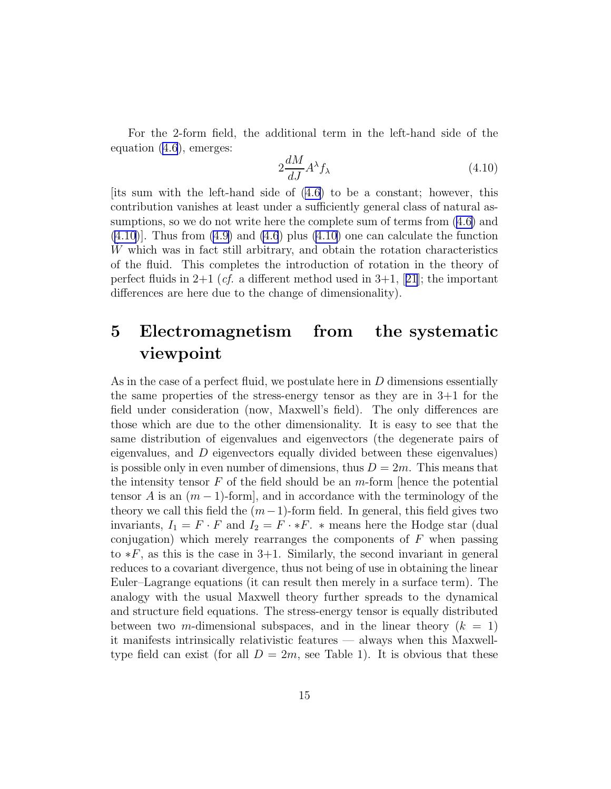<span id="page-14-0"></span>For the 2-form field, the additional term in the left-hand side of the equation [\(4.6](#page-12-0)), emerges:

$$
2\frac{dM}{dJ}A^{\lambda}f_{\lambda} \tag{4.10}
$$

[its sum with the left-hand side of([4.6\)](#page-12-0) to be a constant; however, this contribution vanishes at least under a sufficiently general class of natural assumptions, so we do not write here the complete sum of terms from([4.6\)](#page-12-0) and  $(4.10)$ . Thus from  $(4.9)$  and  $(4.6)$  plus  $(4.10)$  one can calculate the function W which was in fact still arbitrary, and obtain the rotation characteristics of the fluid. This completes the introduction of rotation in the theory of perfectfluids in  $2+1$  (*cf.* a different method used in  $3+1$ , [[21](#page-31-0)]; the important differences are here due to the change of dimensionality).

## 5 Electromagnetism from the systematic viewpoint

As in the case of a perfect fluid, we postulate here in D dimensions essentially the same properties of the stress-energy tensor as they are in 3+1 for the field under consideration (now, Maxwell's field). The only differences are those which are due to the other dimensionality. It is easy to see that the same distribution of eigenvalues and eigenvectors (the degenerate pairs of eigenvalues, and  $D$  eigenvectors equally divided between these eigenvalues) is possible only in even number of dimensions, thus  $D = 2m$ . This means that the intensity tensor  $F$  of the field should be an  $m$ -form [hence the potential tensor A is an  $(m-1)$ -form, and in accordance with the terminology of the theory we call this field the  $(m-1)$ -form field. In general, this field gives two invariants,  $I_1 = F \cdot F$  and  $I_2 = F \cdot *F$ . \* means here the Hodge star (dual conjugation) which merely rearranges the components of  $F$  when passing to  $*F$ , as this is the case in 3+1. Similarly, the second invariant in general reduces to a covariant divergence, thus not being of use in obtaining the linear Euler–Lagrange equations (it can result then merely in a surface term). The analogy with the usual Maxwell theory further spreads to the dynamical and structure field equations. The stress-energy tensor is equally distributed between two m-dimensional subspaces, and in the linear theory  $(k = 1)$ it manifests intrinsically relativistic features — always when this Maxwelltype field can exist (for all  $D = 2m$ , see Table 1). It is obvious that these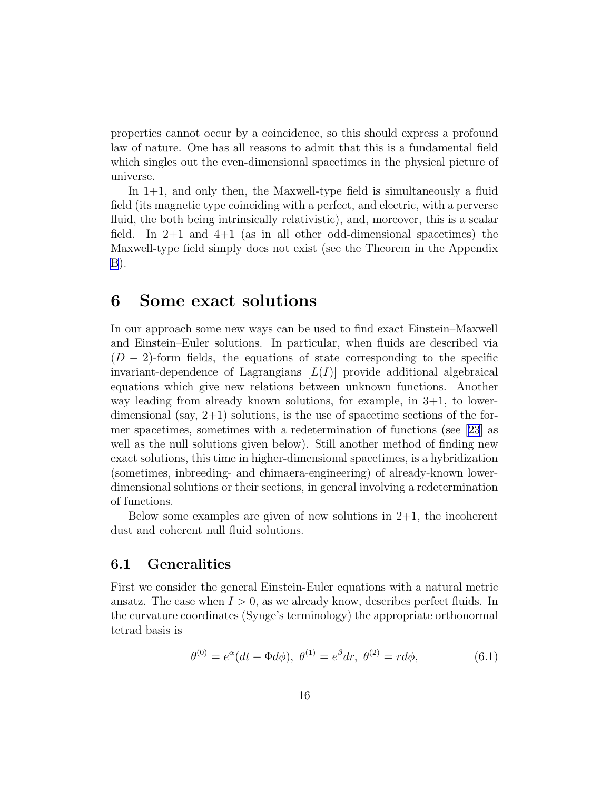<span id="page-15-0"></span>properties cannot occur by a coincidence, so this should express a profound law of nature. One has all reasons to admit that this is a fundamental field which singles out the even-dimensional spacetimes in the physical picture of universe.

In  $1+1$ , and only then, the Maxwell-type field is simultaneously a fluid field (its magnetic type coinciding with a perfect, and electric, with a perverse fluid, the both being intrinsically relativistic), and, moreover, this is a scalar field. In  $2+1$  and  $4+1$  (as in all other odd-dimensional spacetimes) the Maxwell-type field simply does not exist (see the Theorem in the Appendix [B](#page-5-0)).

### 6 Some exact solutions

In our approach some new ways can be used to find exact Einstein–Maxwell and Einstein–Euler solutions. In particular, when fluids are described via  $(D - 2)$ -form fields, the equations of state corresponding to the specific invariant-dependence of Lagrangians  $[L(I)]$  provide additional algebraical equations which give new relations between unknown functions. Another way leading from already known solutions, for example, in  $3+1$ , to lowerdimensional (say,  $2+1$ ) solutions, is the use of spacetime sections of the former spacetimes, sometimes with a redetermination of functions (see[[23](#page-31-0)] as well as the null solutions given below). Still another method of finding new exact solutions, this time in higher-dimensional spacetimes, is a hybridization (sometimes, inbreeding- and chimaera-engineering) of already-known lowerdimensional solutions or their sections, in general involving a redetermination of functions.

Below some examples are given of new solutions in  $2+1$ , the incoherent dust and coherent null fluid solutions.

### 6.1 Generalities

First we consider the general Einstein-Euler equations with a natural metric ansatz. The case when  $I > 0$ , as we already know, describes perfect fluids. In the curvature coordinates (Synge's terminology) the appropriate orthonormal tetrad basis is

$$
\theta^{(0)} = e^{\alpha} (dt - \Phi d\phi), \ \theta^{(1)} = e^{\beta} dr, \ \theta^{(2)} = r d\phi, \tag{6.1}
$$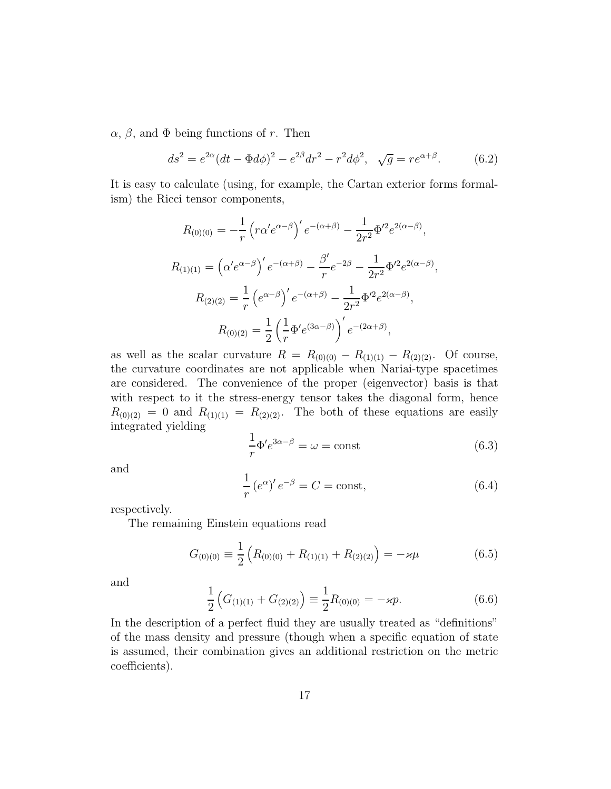<span id="page-16-0"></span> $\alpha$ ,  $\beta$ , and  $\Phi$  being functions of r. Then

$$
ds^{2} = e^{2\alpha} (dt - \Phi d\phi)^{2} - e^{2\beta} dr^{2} - r^{2} d\phi^{2}, \quad \sqrt{g} = r e^{\alpha + \beta}.
$$
 (6.2)

It is easy to calculate (using, for example, the Cartan exterior forms formalism) the Ricci tensor components,

$$
R_{(0)(0)} = -\frac{1}{r} \left( r\alpha' e^{\alpha-\beta} \right)' e^{-(\alpha+\beta)} - \frac{1}{2r^2} \Phi'^2 e^{2(\alpha-\beta)},
$$
  
\n
$$
R_{(1)(1)} = \left( \alpha' e^{\alpha-\beta} \right)' e^{-(\alpha+\beta)} - \frac{\beta'}{r} e^{-2\beta} - \frac{1}{2r^2} \Phi'^2 e^{2(\alpha-\beta)},
$$
  
\n
$$
R_{(2)(2)} = \frac{1}{r} \left( e^{\alpha-\beta} \right)' e^{-(\alpha+\beta)} - \frac{1}{2r^2} \Phi'^2 e^{2(\alpha-\beta)},
$$
  
\n
$$
R_{(0)(2)} = \frac{1}{2} \left( \frac{1}{r} \Phi' e^{(3\alpha-\beta)} \right)' e^{-(2\alpha+\beta)},
$$

as well as the scalar curvature  $R = R_{(0)(0)} - R_{(1)(1)} - R_{(2)(2)}$ . Of course, the curvature coordinates are not applicable when Nariai-type spacetimes are considered. The convenience of the proper (eigenvector) basis is that with respect to it the stress-energy tensor takes the diagonal form, hence  $R_{(0)(2)} = 0$  and  $R_{(1)(1)} = R_{(2)(2)}$ . The both of these equations are easily integrated yielding

$$
\frac{1}{r}\Phi'e^{3\alpha-\beta} = \omega = \text{const}
$$
 (6.3)

and

$$
\frac{1}{r} \left( e^{\alpha} \right)' e^{-\beta} = C = \text{const},\tag{6.4}
$$

respectively.

The remaining Einstein equations read

$$
G_{(0)(0)} \equiv \frac{1}{2} \left( R_{(0)(0)} + R_{(1)(1)} + R_{(2)(2)} \right) = -\varkappa \mu \tag{6.5}
$$

and

$$
\frac{1}{2}\left(G_{(1)(1)} + G_{(2)(2)}\right) \equiv \frac{1}{2}R_{(0)(0)} = -\varkappa p.
$$
\n(6.6)

In the description of a perfect fluid they are usually treated as "definitions" of the mass density and pressure (though when a specific equation of state is assumed, their combination gives an additional restriction on the metric coefficients).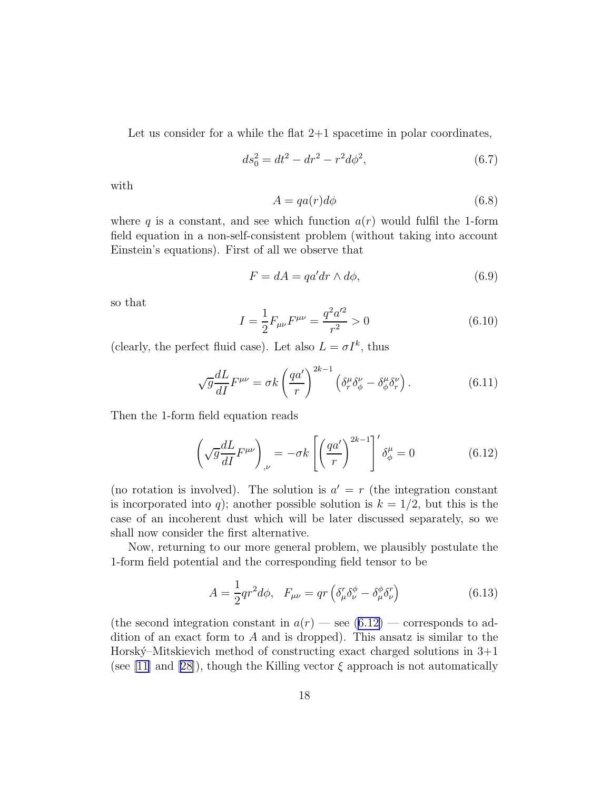<span id="page-17-0"></span>Let us consider for a while the flat  $2+1$  spacetime in polar coordinates,

$$
ds_0^2 = dt^2 - dr^2 - r^2 d\phi^2,
$$
\t(6.7)

with

$$
A = qa(r)d\phi \tag{6.8}
$$

where q is a constant, and see which function  $a(r)$  would fulfil the 1-form field equation in a non-self-consistent problem (without taking into account Einstein's equations). First of all we observe that

$$
F = dA = qa'dr \wedge d\phi,\tag{6.9}
$$

so that

$$
I = \frac{1}{2} F_{\mu\nu} F^{\mu\nu} = \frac{q^2 a'^2}{r^2} > 0
$$
\n(6.10)

(clearly, the perfect fluid case). Let also  $L = \sigma I^k$ , thus

$$
\sqrt{g} \frac{dL}{dI} F^{\mu\nu} = \sigma k \left( \frac{qa'}{r} \right)^{2k-1} \left( \delta_r^{\mu} \delta_\phi^{\nu} - \delta_\phi^{\mu} \delta_r^{\nu} \right). \tag{6.11}
$$

Then the 1-form field equation reads

$$
\left(\sqrt{g}\frac{dL}{dI}F^{\mu\nu}\right)_{,\nu} = -\sigma k \left[\left(\frac{qa'}{r}\right)^{2k-1}\right]'\delta^{\mu}_{\phi} = 0\tag{6.12}
$$

(no rotation is involved). The solution is  $a' = r$  (the integration constant is incorporated into q); another possible solution is  $k = 1/2$ , but this is the case of an incoherent dust which will be later discussed separately, so we shall now consider the first alternative.

Now, returning to our more general problem, we plausibly postulate the 1-form field potential and the corresponding field tensor to be

$$
A = \frac{1}{2}qr^2d\phi, \quad F_{\mu\nu} = qr\left(\delta^r_{\mu}\delta^{\phi}_{\nu} - \delta^{\phi}_{\mu}\delta^r_{\nu}\right)
$$
(6.13)

(the second integration constant in  $a(r)$  — see (6.12) — corresponds to addition of an exact form to A and is dropped). This ansatz is similar to the Horský–Mitskievich method of constructing exact charged solutions in  $3+1$ (see [\[11\]](#page-31-0) and [\[28\]](#page-32-0)), though the Killing vector  $\xi$  approach is not automatically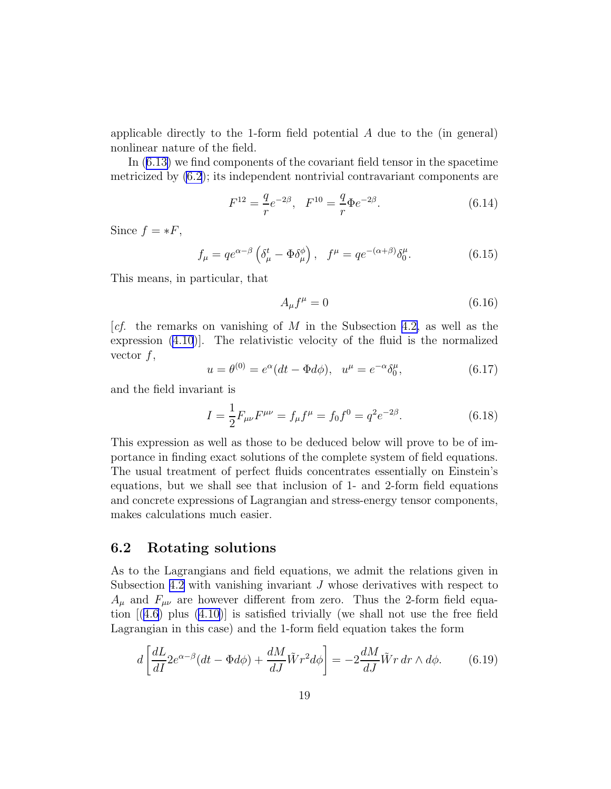<span id="page-18-0"></span>applicable directly to the 1-form field potential A due to the (in general) nonlinear nature of the field.

In([6.13\)](#page-17-0) we find components of the covariant field tensor in the spacetime metricized by [\(6.2](#page-16-0)); its independent nontrivial contravariant components are

$$
F^{12} = \frac{q}{r}e^{-2\beta}, \quad F^{10} = \frac{q}{r}\Phi e^{-2\beta}.
$$
 (6.14)

Since  $f = *F$ ,

$$
f_{\mu} = q e^{\alpha - \beta} \left( \delta_{\mu}^{t} - \Phi \delta_{\mu}^{\phi} \right), \quad f^{\mu} = q e^{-(\alpha + \beta)} \delta_{0}^{\mu}.
$$
 (6.15)

This means, in particular, that

$$
A_{\mu}f^{\mu} = 0 \tag{6.16}
$$

[*cf.* the remarks on vanishing of M in the Subsection [4.2,](#page-13-0) as well as the expression [\(4.10](#page-14-0))]. The relativistic velocity of the fluid is the normalized vector  $f$ ,

$$
u = \theta^{(0)} = e^{\alpha} (dt - \Phi d\phi), \ \ u^{\mu} = e^{-\alpha} \delta_0^{\mu}, \tag{6.17}
$$

and the field invariant is

$$
I = \frac{1}{2} F_{\mu\nu} F^{\mu\nu} = f_{\mu} f^{\mu} = f_0 f^0 = q^2 e^{-2\beta}.
$$
 (6.18)

This expression as well as those to be deduced below will prove to be of importance in finding exact solutions of the complete system of field equations. The usual treatment of perfect fluids concentrates essentially on Einstein's equations, but we shall see that inclusion of 1- and 2-form field equations and concrete expressions of Lagrangian and stress-energy tensor components, makes calculations much easier.

### 6.2 Rotating solutions

As to the Lagrangians and field equations, we admit the relations given in Subsection [4.2](#page-13-0) with vanishing invariant  $J$  whose derivatives with respect to  $A_{\mu}$  and  $F_{\mu\nu}$  are however different from zero. Thus the 2-form field equation  $(4.6)$  $(4.6)$  plus  $(4.10)$  is satisfied trivially (we shall not use the free field Lagrangian in this case) and the 1-form field equation takes the form

$$
d\left[\frac{dL}{dI}2e^{\alpha-\beta}(dt-\Phi d\phi)+\frac{dM}{dJ}\tilde{W}r^2d\phi\right]=-2\frac{dM}{dJ}\tilde{W}r\,dr\wedge d\phi.\qquad(6.19)
$$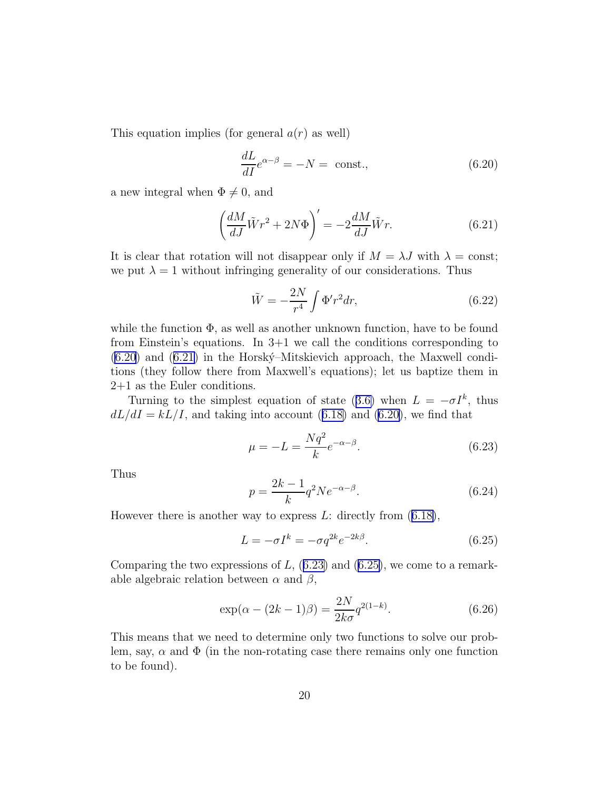<span id="page-19-0"></span>This equation implies (for general  $a(r)$  as well)

$$
\frac{dL}{dI}e^{\alpha-\beta} = -N = \text{ const.},\tag{6.20}
$$

a new integral when  $\Phi \neq 0$ , and

$$
\left(\frac{dM}{dJ}\tilde{W}r^2 + 2N\Phi\right)' = -2\frac{dM}{dJ}\tilde{W}r.
$$
\n(6.21)

It is clear that rotation will not disappear only if  $M = \lambda J$  with  $\lambda = \text{const};$ we put  $\lambda = 1$  without infringing generality of our considerations. Thus

$$
\tilde{W} = -\frac{2N}{r^4} \int \Phi' r^2 dr,\tag{6.22}
$$

while the function  $\Phi$ , as well as another unknown function, have to be found from Einstein's equations. In 3+1 we call the conditions corresponding to  $(6.20)$  and  $(6.21)$  in the Horský–Mitskievich approach, the Maxwell conditions (they follow there from Maxwell's equations); let us baptize them in 2+1 as the Euler conditions.

Turningto the simplest equation of state ([3.6\)](#page-7-0) when  $L = -\sigma I^k$ , thus  $dL/dI = kL/I$  $dL/dI = kL/I$  $dL/dI = kL/I$ , and taking into account ([6.18\)](#page-18-0) and (6.20), we find that

$$
\mu = -L = \frac{Nq^2}{k}e^{-\alpha - \beta}.\tag{6.23}
$$

Thus

$$
p = \frac{2k - 1}{k} q^2 N e^{-\alpha - \beta}.
$$
 (6.24)

Howeverthere is another way to express  $L:$  directly from  $(6.18)$  $(6.18)$ ,

$$
L = -\sigma I^k = -\sigma q^{2k} e^{-2k\beta}.
$$
\n(6.25)

Comparing the two expressions of  $L$ , (6.23) and (6.25), we come to a remarkable algebraic relation between  $\alpha$  and  $\beta$ ,

$$
\exp(\alpha - (2k - 1)\beta) = \frac{2N}{2k\sigma} q^{2(1-k)}.
$$
\n(6.26)

This means that we need to determine only two functions to solve our problem, say,  $\alpha$  and  $\Phi$  (in the non-rotating case there remains only one function to be found).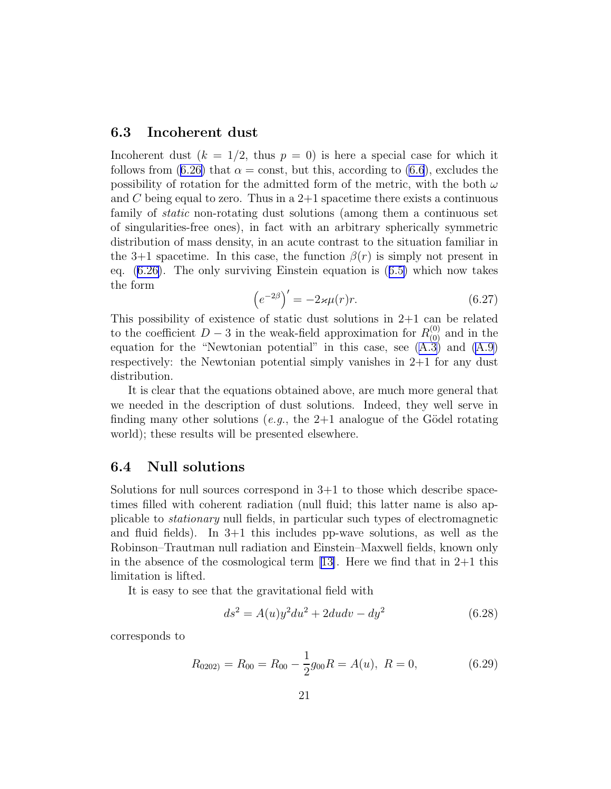#### <span id="page-20-0"></span>6.3 Incoherent dust

Incoherent dust  $(k = 1/2$ , thus  $p = 0$ ) is here a special case for which it followsfrom ([6.26\)](#page-19-0) that  $\alpha = \text{const}$ , but this, according to [\(6.6](#page-16-0)), excludes the possibility of rotation for the admitted form of the metric, with the both  $\omega$ and C being equal to zero. Thus in a  $2+1$  spacetime there exists a continuous family of *static* non-rotating dust solutions (among them a continuous set of singularities-free ones), in fact with an arbitrary spherically symmetric distribution of mass density, in an acute contrast to the situation familiar in the 3+1 spacetime. In this case, the function  $\beta(r)$  is simply not present in eq.([6.26\)](#page-19-0). The only surviving Einstein equation is([6.5\)](#page-16-0) which now takes the form

$$
\left(e^{-2\beta}\right)' = -2\varkappa\mu(r)r.\tag{6.27}
$$

This possibility of existence of static dust solutions in  $2+1$  can be related to the coefficient  $D-3$  in the weak-field approximation for  $R_{(0)}^{(0)}$  and in the equation for the "Newtonian potential" in this case, see([A.3\)](#page-24-0) and([A.9\)](#page-26-0) respectively: the Newtonian potential simply vanishes in 2+1 for any dust distribution.

It is clear that the equations obtained above, are much more general that we needed in the description of dust solutions. Indeed, they well serve in finding many other solutions (*e.g.*, the  $2+1$  analogue of the Gödel rotating world); these results will be presented elsewhere.

### 6.4 Null solutions

Solutions for null sources correspond in  $3+1$  to those which describe spacetimes filled with coherent radiation (null fluid; this latter name is also applicable to *stationary* null fields, in particular such types of electromagnetic and fluid fields). In  $3+1$  this includes pp-wave solutions, as well as the Robinson–Trautman null radiation and Einstein–Maxwell fields, known only in the absence of the cosmological term  $|13|$ . Here we find that in  $2+1$  this limitation is lifted.

It is easy to see that the gravitational field with

$$
ds^{2} = A(u)y^{2}du^{2} + 2dudv - dy^{2}
$$
 (6.28)

corresponds to

$$
R_{0202} = R_{00} = R_{00} - \frac{1}{2}g_{00}R = A(u), \ R = 0,
$$
\n(6.29)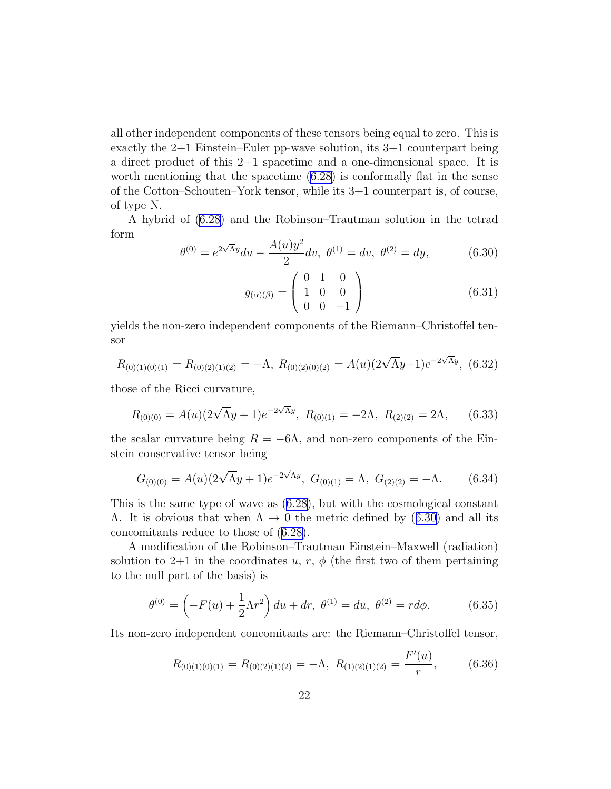<span id="page-21-0"></span>all other independent components of these tensors being equal to zero. This is exactly the  $2+1$  Einstein–Euler pp-wave solution, its  $3+1$  counterpart being a direct product of this 2+1 spacetime and a one-dimensional space. It is worth mentioning that the spacetime [\(6.28](#page-20-0)) is conformally flat in the sense of the Cotton–Schouten–York tensor, while its 3+1 counterpart is, of course, of type N.

A hybrid of [\(6.28\)](#page-20-0) and the Robinson–Trautman solution in the tetrad form

$$
\theta^{(0)} = e^{2\sqrt{\Lambda}y} du - \frac{A(u)y^2}{2} dv, \ \theta^{(1)} = dv, \ \theta^{(2)} = dy,
$$
 (6.30)

$$
g_{(\alpha)(\beta)} = \begin{pmatrix} 0 & 1 & 0 \\ 1 & 0 & 0 \\ 0 & 0 & -1 \end{pmatrix}
$$
 (6.31)

yields the non-zero independent components of the Riemann–Christoffel tensor

$$
R_{(0)(1)(0)(1)} = R_{(0)(2)(1)(2)} = -\Lambda, \ R_{(0)(2)(0)(2)} = A(u)(2\sqrt{\Lambda}y+1)e^{-2\sqrt{\Lambda}y}, \ (6.32)
$$

those of the Ricci curvature,

$$
R_{(0)(0)} = A(u)(2\sqrt{\Lambda}y + 1)e^{-2\sqrt{\Lambda}y}, \ R_{(0)(1)} = -2\Lambda, \ R_{(2)(2)} = 2\Lambda, \tag{6.33}
$$

the scalar curvature being  $R = -6\Lambda$ , and non-zero components of the Einstein conservative tensor being

$$
G_{(0)(0)} = A(u)(2\sqrt{\Lambda}y + 1)e^{-2\sqrt{\Lambda}y}, \ G_{(0)(1)} = \Lambda, \ G_{(2)(2)} = -\Lambda.
$$
 (6.34)

This is the same type of wave as [\(6.28\)](#page-20-0), but with the cosmological constant  $Λ$ . It is obvious that when  $Λ \rightarrow 0$  the metric defined by (6.30) and all its concomitants reduce to those of([6.28\)](#page-20-0).

A modification of the Robinson–Trautman Einstein–Maxwell (radiation) solution to 2+1 in the coordinates u, r,  $\phi$  (the first two of them pertaining to the null part of the basis) is

$$
\theta^{(0)} = \left(-F(u) + \frac{1}{2}\Lambda r^2\right)du + dr, \ \theta^{(1)} = du, \ \theta^{(2)} = r d\phi. \tag{6.35}
$$

Its non-zero independent concomitants are: the Riemann–Christoffel tensor,

$$
R_{(0)(1)(0)(1)} = R_{(0)(2)(1)(2)} = -\Lambda, \ R_{(1)(2)(1)(2)} = \frac{F'(u)}{r}, \tag{6.36}
$$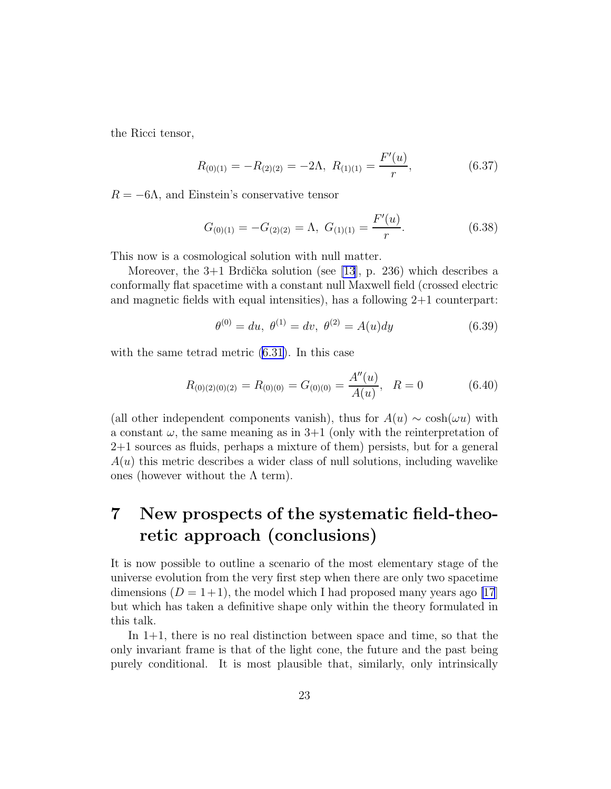<span id="page-22-0"></span>the Ricci tensor,

$$
R_{(0)(1)} = -R_{(2)(2)} = -2\Lambda, \ R_{(1)(1)} = \frac{F'(u)}{r}, \tag{6.37}
$$

 $R = -6\Lambda$ , and Einstein's conservative tensor

$$
G_{(0)(1)} = -G_{(2)(2)} = \Lambda, \ G_{(1)(1)} = \frac{F'(u)}{r}.
$$
 (6.38)

This now is a cosmological solution with null matter.

Moreover, the  $3+1$  Brdička solution (see [\[13](#page-31-0)], p. 236) which describes a conformally flat spacetime with a constant null Maxwell field (crossed electric and magnetic fields with equal intensities), has a following  $2+1$  counterpart:

$$
\theta^{(0)} = du, \ \theta^{(1)} = dv, \ \theta^{(2)} = A(u)dy \tag{6.39}
$$

with the same tetrad metric [\(6.31](#page-21-0)). In this case

$$
R_{(0)(2)(0)(2)} = R_{(0)(0)} = G_{(0)(0)} = \frac{A''(u)}{A(u)}, \quad R = 0 \tag{6.40}
$$

(all other independent components vanish), thus for  $A(u) \sim \cosh(\omega u)$  with a constant  $\omega$ , the same meaning as in 3+1 (only with the reinterpretation of 2+1 sources as fluids, perhaps a mixture of them) persists, but for a general  $A(u)$  this metric describes a wider class of null solutions, including wavelike ones (however without the  $\Lambda$  term).

## 7 New prospects of the systematic field-theoretic approach (conclusions)

It is now possible to outline a scenario of the most elementary stage of the universe evolution from the very first step when there are only two spacetime dimensions  $(D = 1+1)$ , the model which I had proposed many years ago [\[17](#page-31-0)] but which has taken a definitive shape only within the theory formulated in this talk.

In  $1+1$ , there is no real distinction between space and time, so that the only invariant frame is that of the light cone, the future and the past being purely conditional. It is most plausible that, similarly, only intrinsically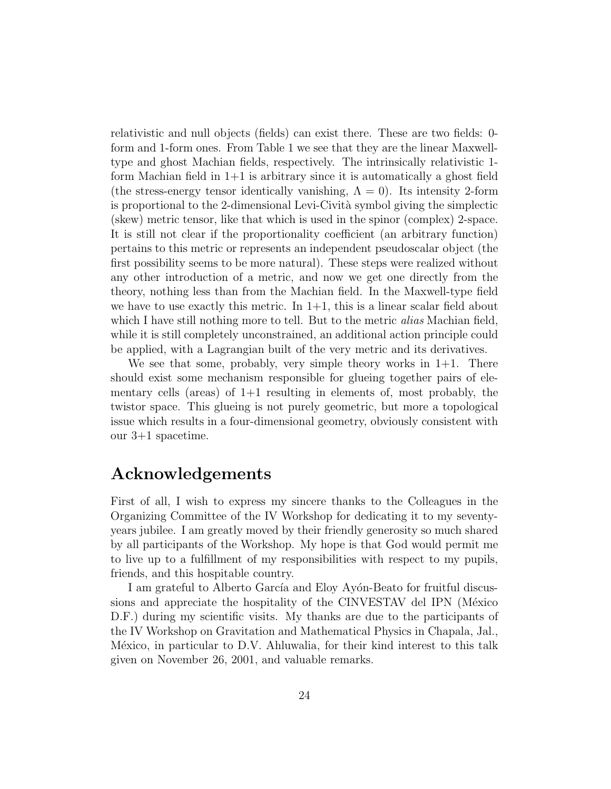relativistic and null objects (fields) can exist there. These are two fields: 0 form and 1-form ones. From Table 1 we see that they are the linear Maxwelltype and ghost Machian fields, respectively. The intrinsically relativistic 1 form Machian field in  $1+1$  is arbitrary since it is automatically a ghost field (the stress-energy tensor identically vanishing,  $\Lambda = 0$ ). Its intensity 2-form is proportional to the 2-dimensional Levi-Cività symbol giving the simplectic (skew) metric tensor, like that which is used in the spinor (complex) 2-space. It is still not clear if the proportionality coefficient (an arbitrary function) pertains to this metric or represents an independent pseudoscalar object (the first possibility seems to be more natural). These steps were realized without any other introduction of a metric, and now we get one directly from the theory, nothing less than from the Machian field. In the Maxwell-type field we have to use exactly this metric. In  $1+1$ , this is a linear scalar field about which I have still nothing more to tell. But to the metric *alias* Machian field, while it is still completely unconstrained, an additional action principle could be applied, with a Lagrangian built of the very metric and its derivatives.

We see that some, probably, very simple theory works in  $1+1$ . There should exist some mechanism responsible for glueing together pairs of elementary cells (areas) of  $1+1$  resulting in elements of, most probably, the twistor space. This glueing is not purely geometric, but more a topological issue which results in a four-dimensional geometry, obviously consistent with our 3+1 spacetime.

### Acknowledgements

First of all, I wish to express my sincere thanks to the Colleagues in the Organizing Committee of the IV Workshop for dedicating it to my seventyyears jubilee. I am greatly moved by their friendly generosity so much shared by all participants of the Workshop. My hope is that God would permit me to live up to a fulfillment of my responsibilities with respect to my pupils, friends, and this hospitable country.

I am grateful to Alberto García and Eloy Ayón-Beato for fruitful discussions and appreciate the hospitality of the CINVESTAV del IPN (México D.F.) during my scientific visits. My thanks are due to the participants of the IV Workshop on Gravitation and Mathematical Physics in Chapala, Jal., México, in particular to D.V. Ahluwalia, for their kind interest to this talk given on November 26, 2001, and valuable remarks.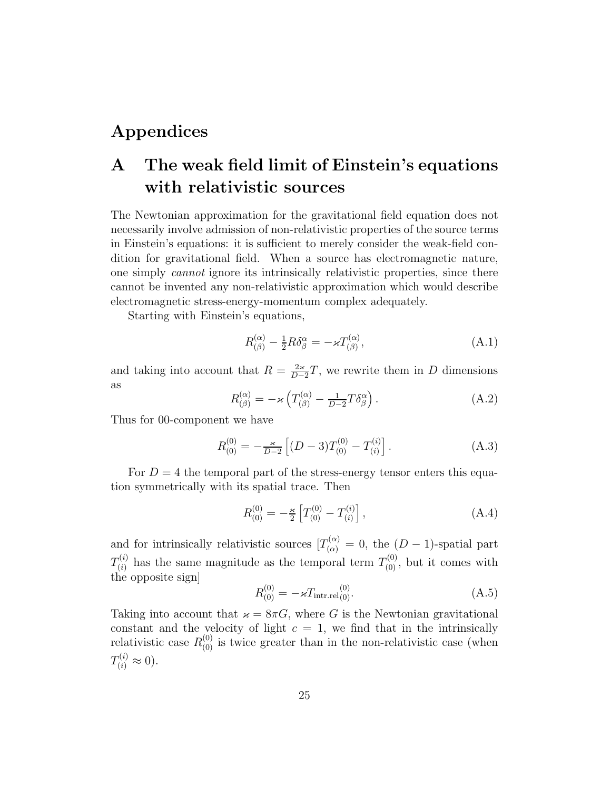## <span id="page-24-0"></span>Appendices

## A The weak field limit of Einstein's equations with relativistic sources

The Newtonian approximation for the gravitational field equation does not necessarily involve admission of non-relativistic properties of the source terms in Einstein's equations: it is sufficient to merely consider the weak-field condition for gravitational field. When a source has electromagnetic nature, one simply *cannot* ignore its intrinsically relativistic properties, since there cannot be invented any non-relativistic approximation which would describe electromagnetic stress-energy-momentum complex adequately.

Starting with Einstein's equations,

$$
R^{(\alpha)}_{(\beta)} - \frac{1}{2} R \delta^\alpha_\beta = -\varkappa T^{(\alpha)}_{(\beta)}, \tag{A.1}
$$

and taking into account that  $R = \frac{2\pi}{D}$  $\frac{2\varkappa}{D-2}T$ , we rewrite them in D dimensions as

$$
R^{(\alpha)}_{(\beta)} = -\varkappa \left( T^{(\alpha)}_{(\beta)} - \frac{1}{D-2} T \delta^{\alpha}_{\beta} \right). \tag{A.2}
$$

Thus for 00-component we have

$$
R_{(0)}^{(0)} = -\frac{\varkappa}{D-2} \left[ (D-3)T_{(0)}^{(0)} - T_{(i)}^{(i)} \right]. \tag{A.3}
$$

For  $D = 4$  the temporal part of the stress-energy tensor enters this equation symmetrically with its spatial trace. Then

$$
R_{(0)}^{(0)} = -\frac{\varkappa}{2} \left[ T_{(0)}^{(0)} - T_{(i)}^{(i)} \right], \tag{A.4}
$$

and for intrinsically relativistic sources  $[T_{(\alpha)}^{(\alpha)} = 0,$  the  $(D-1)$ -spatial part  $T^{(i)}_{(i)}$  $C_{(i)}^{(i)}$  has the same magnitude as the temporal term  $T_{(0)}^{(0)}$ , but it comes with the opposite sign]

$$
R_{(0)}^{(0)} = -\varkappa T_{\text{intr.}rel(0)}^{(0)}.\tag{A.5}
$$

Taking into account that  $\varkappa = 8\pi G$ , where G is the Newtonian gravitational constant and the velocity of light  $c = 1$ , we find that in the intrinsically relativistic case  $R_{(0)}^{(0)}$  is twice greater than in the non-relativistic case (when  $T_{(i)}^{(i)} \approx 0$ ).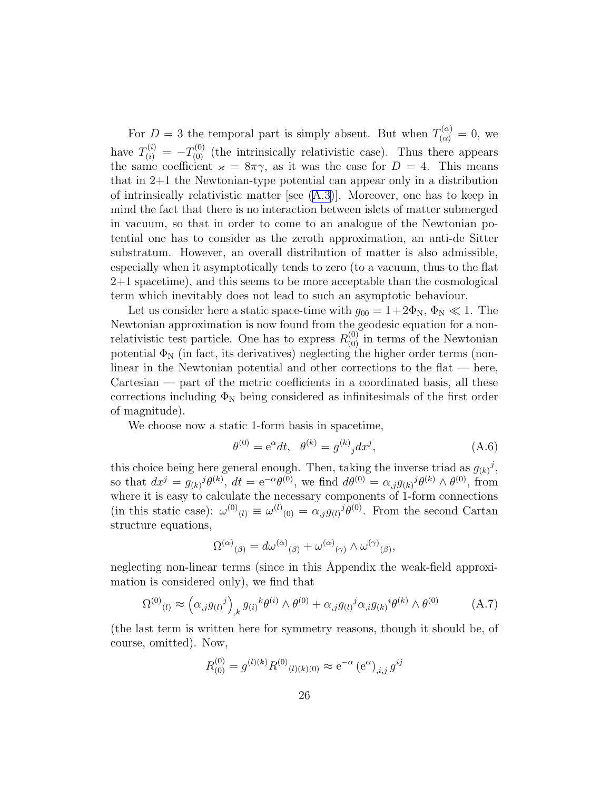For  $D=3$  the temporal part is simply absent. But when  $T^{(\alpha)}_{(\alpha)}=0$ , we have  $T_{(i)}^{(i)} = -T_{(0)}^{(0)}$  (the intrinsically relativistic case). Thus there appears the same coefficient  $\varkappa = 8\pi\gamma$ , as it was the case for  $D = 4$ . This means that in 2+1 the Newtonian-type potential can appear only in a distribution of intrinsically relativistic matter [see [\(A.3](#page-24-0))]. Moreover, one has to keep in mind the fact that there is no interaction between islets of matter submerged in vacuum, so that in order to come to an analogue of the Newtonian potential one has to consider as the zeroth approximation, an anti-de Sitter substratum. However, an overall distribution of matter is also admissible, especially when it asymptotically tends to zero (to a vacuum, thus to the flat 2+1 spacetime), and this seems to be more acceptable than the cosmological term which inevitably does not lead to such an asymptotic behaviour.

Let us consider here a static space-time with  $g_{00} = 1+2\Phi_{\rm N}, \Phi_{\rm N} \ll 1$ . The Newtonian approximation is now found from the geodesic equation for a nonrelativistic test particle. One has to express  $R_{(0)}^{(0)}$  in terms of the Newtonian potential  $\Phi_N$  (in fact, its derivatives) neglecting the higher order terms (nonlinear in the Newtonian potential and other corrections to the flat  $-$  here, Cartesian — part of the metric coefficients in a coordinated basis, all these corrections including  $\Phi_N$  being considered as infinitesimals of the first order of magnitude).

We choose now a static 1-form basis in spacetime,

$$
\theta^{(0)} = e^{\alpha} dt, \ \ \theta^{(k)} = g^{(k)}{}_{j} dx^{j}, \tag{A.6}
$$

this choice being here general enough. Then, taking the inverse triad as  $g_{(k)}^j$ , so that  $dx^j = g_{(k)}^j \theta^{(k)}$ ,  $dt = e^{-\alpha} \theta^{(0)}$ , we find  $d\theta^{(0)} = \alpha_{,j} g_{(k)}^j \theta^{(k)} \wedge \theta^{(0)}$ , from where it is easy to calculate the necessary components of 1-form connections (in this static case):  $\omega^{(0)}_{(l)} \equiv \omega^{(l)}_{(0)} = \alpha_{,j} g_{(l)}{}^{j} \theta^{(0)}$ . From the second Cartan structure equations,

$$
\Omega^{(\alpha)}(A_{\beta)} = d\omega^{(\alpha)}(A_{\beta)} + \omega^{(\alpha)}(A_{\gamma)} \wedge \omega^{(\gamma)}(A_{\beta)},
$$

neglecting non-linear terms (since in this Appendix the weak-field approximation is considered only), we find that

$$
\Omega^{(0)}(l)} \approx (\alpha_{,j}g_{(l)})^j)_{,k} g_{(i)}{}^k \theta^{(i)} \wedge \theta^{(0)} + \alpha_{,j}g_{(l)}{}^j \alpha_{,i}g_{(k)}{}^i \theta^{(k)} \wedge \theta^{(0)} \qquad (A.7)
$$

(the last term is written here for symmetry reasons, though it should be, of course, omitted). Now,

$$
R_{(0)}^{(0)} = g^{(l)(k)} R^{(0)}_{(l)(k)(0)} \approx e^{-\alpha} (e^{\alpha})_{,i,j} g^{ij}
$$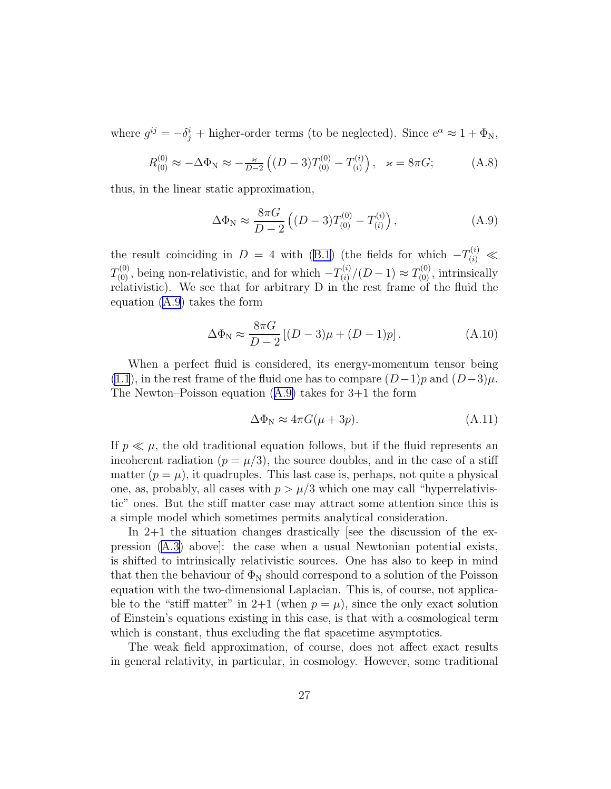<span id="page-26-0"></span>where  $g^{ij} = -\delta^i_j$  + higher-order terms (to be neglected). Since  $e^{\alpha} \approx 1 + \Phi_N$ ,

$$
R_{(0)}^{(0)} \approx -\Delta\Phi_{\rm N} \approx -\frac{\varkappa}{D-2} \left( (D-3)T_{(0)}^{(0)} - T_{(i)}^{(i)} \right), \quad \varkappa = 8\pi G; \tag{A.8}
$$

thus, in the linear static approximation,

$$
\Delta \Phi_{\rm N} \approx \frac{8\pi G}{D-2} \left( (D-3) T_{(0)}^{(0)} - T_{(i)}^{(i)} \right), \tag{A.9}
$$

the result coinciding in  $D = 4$  with [\(B.1](#page-27-0)) (the fields for which  $-T_{(i)}^{(i)} \ll 1$  $T^{(0)}_{(0)}$ , being non-relativistic, and for which  $-T^{(i)}_{(i)}$  $T_{(i)}^{(i)}/(D-1) \approx T_{(0)}^{(0)}$ , intrinsically relativistic). We see that for arbitrary D in the rest frame of the fluid the equation (A.9) takes the form

$$
\Delta\Phi_{\rm N} \approx \frac{8\pi G}{D-2} \left[ (D-3)\mu + (D-1)p \right]. \tag{A.10}
$$

When a perfect fluid is considered, its energy-momentum tensor being [\(1.1](#page-2-0)), in the rest frame of the fluid one has to compare  $(D-1)p$  and  $(D-3)\mu$ . The Newton–Poisson equation (A.9) takes for 3+1 the form

$$
\Delta \Phi_{\rm N} \approx 4\pi G(\mu + 3p). \tag{A.11}
$$

If  $p \ll \mu$ , the old traditional equation follows, but if the fluid represents an incoherent radiation  $(p = \mu/3)$ , the source doubles, and in the case of a stiff matter  $(p = \mu)$ , it quadruples. This last case is, perhaps, not quite a physical one, as, probably, all cases with  $p > \mu/3$  which one may call "hyperrelativistic" ones. But the stiff matter case may attract some attention since this is a simple model which sometimes permits analytical consideration.

In 2+1 the situation changes drastically [see the discussion of the expression([A.3\)](#page-24-0) above]: the case when a usual Newtonian potential exists, is shifted to intrinsically relativistic sources. One has also to keep in mind that then the behaviour of  $\Phi_N$  should correspond to a solution of the Poisson equation with the two-dimensional Laplacian. This is, of course, not applicable to the "stiff matter" in 2+1 (when  $p = \mu$ ), since the only exact solution of Einstein's equations existing in this case, is that with a cosmological term which is constant, thus excluding the flat spacetime asymptotics.

The weak field approximation, of course, does not affect exact results in general relativity, in particular, in cosmology. However, some traditional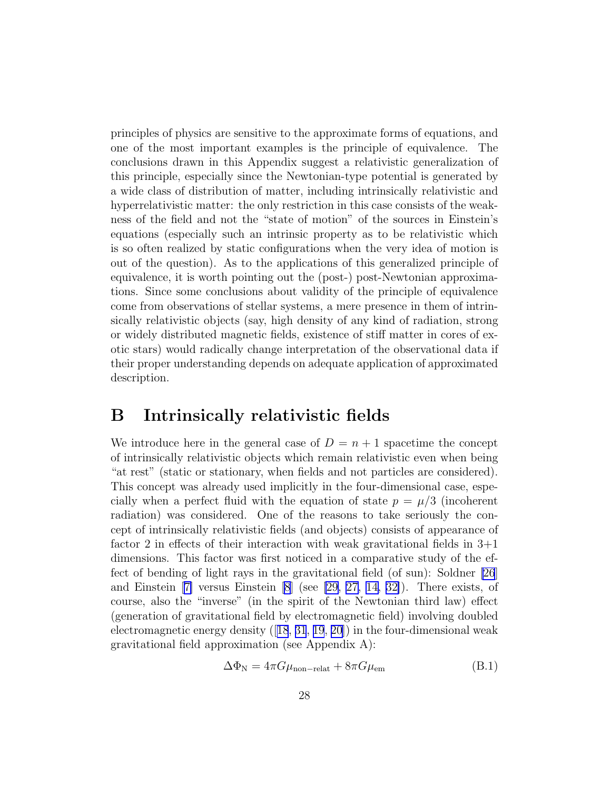<span id="page-27-0"></span>principles of physics are sensitive to the approximate forms of equations, and one of the most important examples is the principle of equivalence. The conclusions drawn in this Appendix suggest a relativistic generalization of this principle, especially since the Newtonian-type potential is generated by a wide class of distribution of matter, including intrinsically relativistic and hyperrelativistic matter: the only restriction in this case consists of the weakness of the field and not the "state of motion" of the sources in Einstein's equations (especially such an intrinsic property as to be relativistic which is so often realized by static configurations when the very idea of motion is out of the question). As to the applications of this generalized principle of equivalence, it is worth pointing out the (post-) post-Newtonian approximations. Since some conclusions about validity of the principle of equivalence come from observations of stellar systems, a mere presence in them of intrinsically relativistic objects (say, high density of any kind of radiation, strong or widely distributed magnetic fields, existence of stiff matter in cores of exotic stars) would radically change interpretation of the observational data if their proper understanding depends on adequate application of approximated description.

## B Intrinsically relativistic fields

We introduce here in the general case of  $D = n + 1$  spacetime the concept of intrinsically relativistic objects which remain relativistic even when being "at rest" (static or stationary, when fields and not particles are considered). This concept was already used implicitly in the four-dimensional case, especially when a perfect fluid with the equation of state  $p = \mu/3$  (incoherent radiation) was considered. One of the reasons to take seriously the concept of intrinsically relativistic fields (and objects) consists of appearance of factor 2 in effects of their interaction with weak gravitational fields in 3+1 dimensions. This factor was first noticed in a comparative study of the effect of bending of light rays in the gravitational field (of sun): Soldner [\[26](#page-32-0)] and Einstein[[7\]](#page-30-0) versus Einstein [\[8](#page-30-0)] (see [\[29, 27,](#page-32-0) [14,](#page-31-0) [32\]](#page-32-0)). There exists, of course, also the "inverse" (in the spirit of the Newtonian third law) effect (generation of gravitational field by electromagnetic field) involving doubled electromagnetic energy density ([[18](#page-31-0), [31](#page-32-0), [19](#page-31-0), [20](#page-31-0)]) in the four-dimensional weak gravitational field approximation (see Appendix A):

$$
\Delta\Phi_{\rm N} = 4\pi G\mu_{\rm non-relat} + 8\pi G\mu_{\rm em}
$$
 (B.1)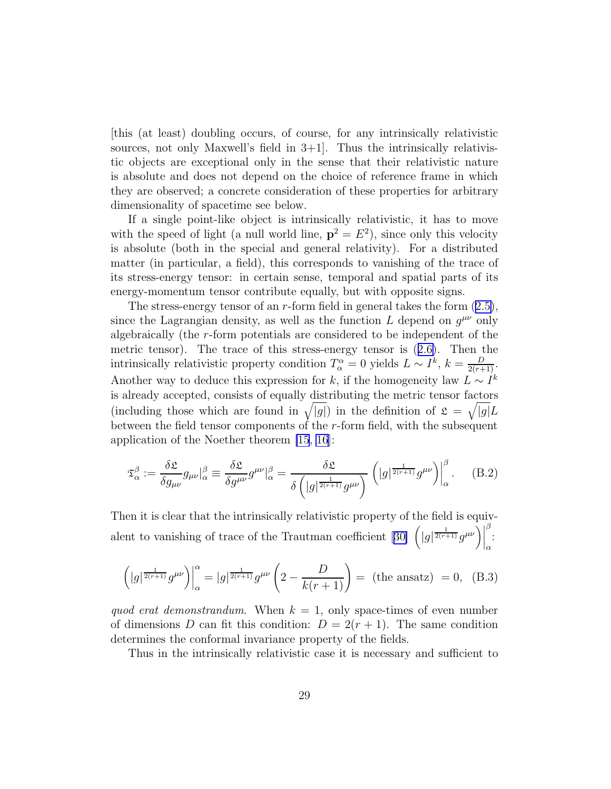[this (at least) doubling occurs, of course, for any intrinsically relativistic sources, not only Maxwell's field in  $3+1$ . Thus the intrinsically relativistic objects are exceptional only in the sense that their relativistic nature is absolute and does not depend on the choice of reference frame in which they are observed; a concrete consideration of these properties for arbitrary dimensionality of spacetime see below.

If a single point-like object is intrinsically relativistic, it has to move with the speed of light (a null world line,  $\mathbf{p}^2 = E^2$ ), since only this velocity is absolute (both in the special and general relativity). For a distributed matter (in particular, a field), this corresponds to vanishing of the trace of its stress-energy tensor: in certain sense, temporal and spatial parts of its energy-momentum tensor contribute equally, but with opposite signs.

Thestress-energy tensor of an  $r$ -form field in general takes the form  $(2.5)$  $(2.5)$ , since the Lagrangian density, as well as the function L depend on  $g^{\mu\nu}$  only algebraically (the r-form potentials are considered to be independent of the metric tensor). The trace of this stress-energy tensor is([2.6\)](#page-5-0). Then the intrinsically relativistic property condition  $T_{\alpha}^{\alpha} = 0$  yields  $L \sim I^{k}$ ,  $k = \frac{D}{2(r+1)}$ . Another way to deduce this expression for k, if the homogeneity law  $L \sim I^k$ is already accepted, consists of equally distributing the metric tensor factors (including those which are found in  $\sqrt{|g|}$ ) in the definition of  $\mathfrak{L} = \sqrt{|g|}L$ between the field tensor components of the r-form field, with the subsequent application of the Noether theorem [\[15](#page-31-0), [16](#page-31-0)]:

$$
\mathfrak{T}_{\alpha}^{\beta} := \frac{\delta \mathfrak{L}}{\delta g_{\mu\nu}} g_{\mu\nu}|_{\alpha}^{\beta} \equiv \frac{\delta \mathfrak{L}}{\delta g^{\mu\nu}} g^{\mu\nu}|_{\alpha}^{\beta} = \frac{\delta \mathfrak{L}}{\delta \left( |g|^{\frac{1}{2(r+1)}} g^{\mu\nu} \right)} \left( |g|^{\frac{1}{2(r+1)}} g^{\mu\nu} \right) \Big|_{\alpha}^{\beta} . \tag{B.2}
$$

Then it is clear that the intrinsically relativistic property of the field is equiv-alentto vanishing of trace of the Trautman coefficient [[30\]](#page-32-0)  $(|g|^{\frac{1}{2(r+1)}} g^{\mu\nu})$ β α :

$$
\left( |g|^{\frac{1}{2(r+1)}} g^{\mu\nu} \right) \Big|_{\alpha}^{\alpha} = |g|^{\frac{1}{2(r+1)}} g^{\mu\nu} \left( 2 - \frac{D}{k(r+1)} \right) = (\text{the ansatz}) = 0, \quad (B.3)
$$

*quod erat demonstrandum*. When  $k = 1$ , only space-times of even number of dimensions D can fit this condition:  $D = 2(r + 1)$ . The same condition determines the conformal invariance property of the fields.

Thus in the intrinsically relativistic case it is necessary and sufficient to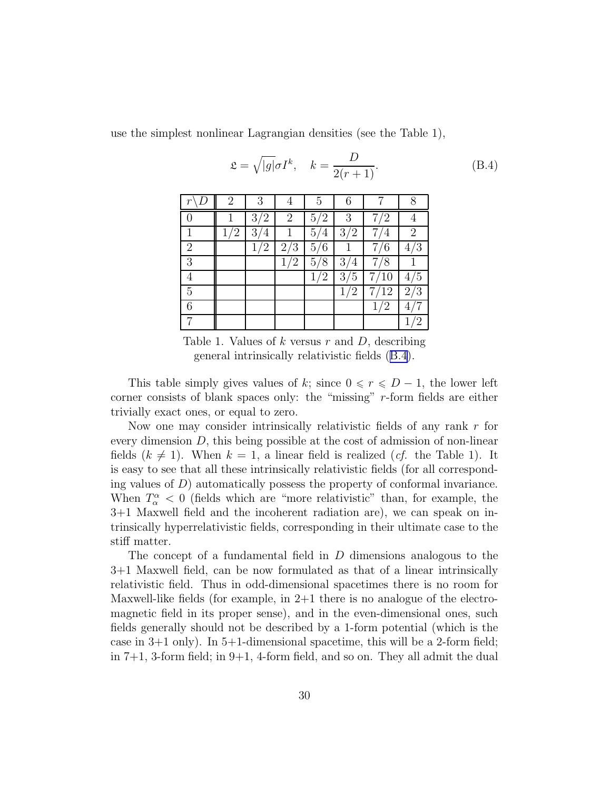use the simplest nonlinear Lagrangian densities (see the Table 1),

| $\mathcal{r}$  | 2   | 3   | 4              | 5   | 6        |          | 8                  |
|----------------|-----|-----|----------------|-----|----------|----------|--------------------|
| $\theta$       |     | 3/2 | $\overline{2}$ | 5/2 | 3        | 7/2      |                    |
| 1              | 1/2 | 3/4 |                | 5/4 | 3/2      | 7,<br>/4 | $\overline{2}$     |
| $\overline{2}$ |     | 1/2 | 2/3            | 5/6 |          | 7/6      | 3                  |
| 3              |     |     | 1/2            | 5/8 | 3/4      | 7/8      |                    |
| $\overline{4}$ |     |     |                | 1/2 | 3/5      | 7/10     | $\frac{7}{5}$<br>4 |
| $\overline{5}$ |     |     |                |     | 1/<br>/2 | 7/12     | 2/3                |
| 6              |     |     |                |     |          | 1/2      |                    |
| 7              |     |     |                |     |          |          | $^{\prime}2$       |

 $\mathfrak{L} = \sqrt{|g|} \sigma I^k, \quad k =$  $\boldsymbol{D}$  $\frac{2}{2(r+1)}$ . (B.4)

Table 1. Values of k versus r and  $D$ , describing general intrinsically relativistic fields (B.4).

This table simply gives values of k; since  $0 \le r \le D - 1$ , the lower left corner consists of blank spaces only: the "missing" r-form fields are either trivially exact ones, or equal to zero.

Now one may consider intrinsically relativistic fields of any rank  $r$  for every dimension  $D$ , this being possible at the cost of admission of non-linear fields  $(k \neq 1)$ . When  $k = 1$ , a linear field is realized (*cf.* the Table 1). It is easy to see that all these intrinsically relativistic fields (for all corresponding values of  $D$ ) automatically possess the property of conformal invariance. When  $T_{\alpha}^{\alpha}$  < 0 (fields which are "more relativistic" than, for example, the 3+1 Maxwell field and the incoherent radiation are), we can speak on intrinsically hyperrelativistic fields, corresponding in their ultimate case to the stiff matter.

The concept of a fundamental field in D dimensions analogous to the 3+1 Maxwell field, can be now formulated as that of a linear intrinsically relativistic field. Thus in odd-dimensional spacetimes there is no room for Maxwell-like fields (for example, in  $2+1$  there is no analogue of the electromagnetic field in its proper sense), and in the even-dimensional ones, such fields generally should not be described by a 1-form potential (which is the case in  $3+1$  only). In  $5+1$ -dimensional spacetime, this will be a 2-form field; in  $7+1$ , 3-form field; in  $9+1$ , 4-form field, and so on. They all admit the dual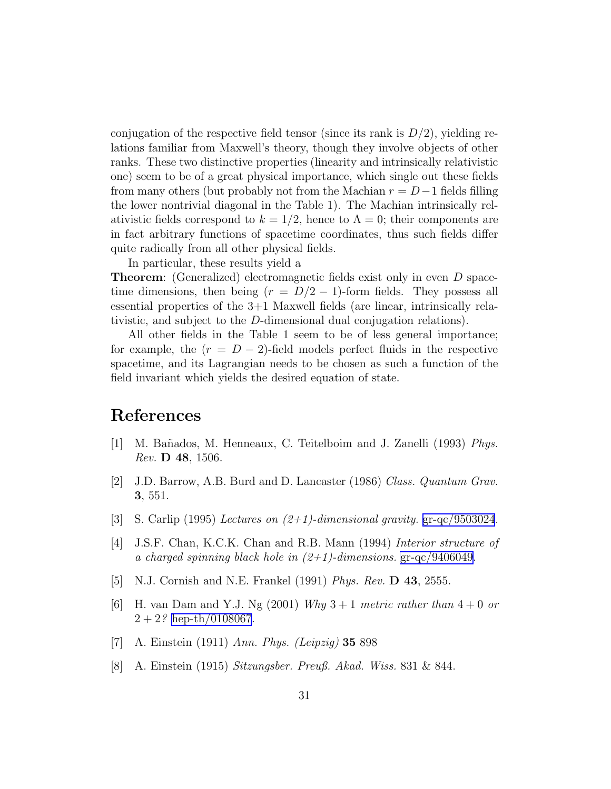<span id="page-30-0"></span>conjugation of the respective field tensor (since its rank is  $D/2$ ), yielding relations familiar from Maxwell's theory, though they involve objects of other ranks. These two distinctive properties (linearity and intrinsically relativistic one) seem to be of a great physical importance, which single out these fields from many others (but probably not from the Machian  $r = D-1$  fields filling the lower nontrivial diagonal in the Table 1). The Machian intrinsically relativistic fields correspond to  $k = 1/2$ , hence to  $\Lambda = 0$ ; their components are in fact arbitrary functions of spacetime coordinates, thus such fields differ quite radically from all other physical fields.

In particular, these results yield a

**Theorem:** (Generalized) electromagnetic fields exist only in even D spacetime dimensions, then being  $(r = D/2 - 1)$ -form fields. They possess all essential properties of the 3+1 Maxwell fields (are linear, intrinsically relativistic, and subject to the D-dimensional dual conjugation relations).

All other fields in the Table 1 seem to be of less general importance; for example, the  $(r = D - 2)$ -field models perfect fluids in the respective spacetime, and its Lagrangian needs to be chosen as such a function of the field invariant which yields the desired equation of state.

### References

- [1] M. Ba˜nados, M. Henneaux, C. Teitelboim and J. Zanelli (1993) *Phys. Rev.* D 48, 1506.
- [2] J.D. Barrow, A.B. Burd and D. Lancaster (1986) *Class. Quantum Grav.* 3, 551.
- [3] S. Carlip (1995) *Lectures on (2+1)-dimensional gravity.* [gr-qc/9503024](http://arxiv.org/abs/gr-qc/9503024).
- [4] J.S.F. Chan, K.C.K. Chan and R.B. Mann (1994) *Interior structure of a charged spinning black hole in (2+1)-dimensions.* [gr-qc/9406049](http://arxiv.org/abs/gr-qc/9406049).
- [5] N.J. Cornish and N.E. Frankel (1991) *Phys. Rev.* D 43, 2555.
- [6] H. van Dam and Y.J. Ng (2001) *Why* 3 + 1 *metric rather than* 4 + 0 *or*  $2 + 2$ ? [hep-th/0108067](http://arxiv.org/abs/hep-th/0108067).
- [7] A. Einstein (1911) *Ann. Phys. (Leipzig)* 35 898
- [8] A. Einstein (1915) *Sitzungsber. Preuß. Akad. Wiss.* 831 & 844.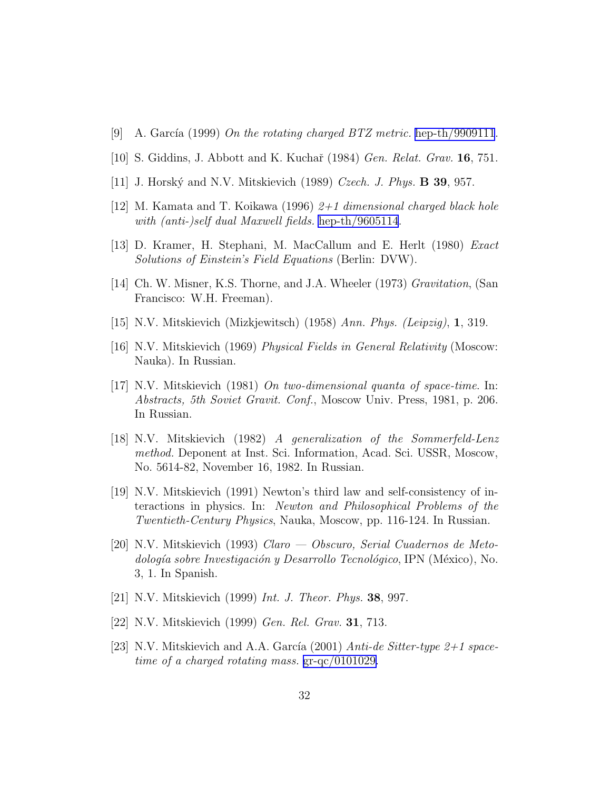- <span id="page-31-0"></span> $[9]$  A. García (1999) *On the rotating charged BTZ metric.* [hep-th/9909111](http://arxiv.org/abs/hep-th/9909111).
- [10] S. Giddins, J. Abbott and K. Kuchaˇr (1984) *Gen. Relat. Grav.* 16, 751.
- [11] J. Horsk´y and N.V. Mitskievich (1989) *Czech. J. Phys.* B 39, 957.
- [12] M. Kamata and T. Koikawa (1996) *2+1 dimensional charged black hole with (anti-)self dual Maxwell fields.* [hep-th/9605114](http://arxiv.org/abs/hep-th/9605114).
- [13] D. Kramer, H. Stephani, M. MacCallum and E. Herlt (1980) *Exact Solutions of Einstein's Field Equations* (Berlin: DVW).
- [14] Ch. W. Misner, K.S. Thorne, and J.A. Wheeler (1973) *Gravitation*, (San Francisco: W.H. Freeman).
- [15] N.V. Mitskievich (Mizkjewitsch) (1958) *Ann. Phys. (Leipzig)*, 1, 319.
- [16] N.V. Mitskievich (1969) *Physical Fields in General Relativity* (Moscow: Nauka). In Russian.
- [17] N.V. Mitskievich (1981) *On two-dimensional quanta of space-time*. In: *Abstracts, 5th Soviet Gravit. Conf.*, Moscow Univ. Press, 1981, p. 206. In Russian.
- [18] N.V. Mitskievich (1982) *A generalization of the Sommerfeld-Lenz method.* Deponent at Inst. Sci. Information, Acad. Sci. USSR, Moscow, No. 5614-82, November 16, 1982. In Russian.
- [19] N.V. Mitskievich (1991) Newton's third law and self-consistency of interactions in physics. In: *Newton and Philosophical Problems of the Twentieth-Century Physics*, Nauka, Moscow, pp. 116-124. In Russian.
- [20] N.V. Mitskievich (1993) *Claro Obscuro, Serial Cuadernos de Metodolog´ıa sobre Investigaci´on y Desarrollo Tecnol´ogico*, IPN (M´exico), No. 3, 1. In Spanish.
- [21] N.V. Mitskievich (1999) *Int. J. Theor. Phys.* 38, 997.
- [22] N.V. Mitskievich (1999) *Gen. Rel. Grav.* 31, 713.
- [23] N.V. Mitskievich and A.A. García (2001) *Anti-de Sitter-type 2+1 spacetime of a charged rotating mass.* [gr-qc/0101029.](http://arxiv.org/abs/gr-qc/0101029)